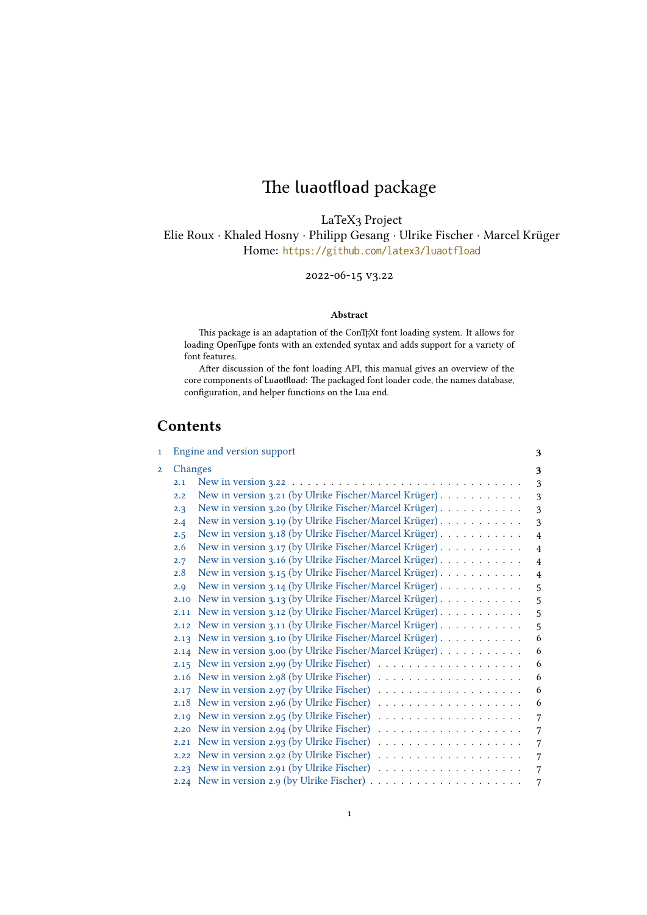# The luaotfload package

LaTeX3 Project

Elie Roux · Khaled Hosny · Philipp Gesang · Ulrike Fischer · Marcel Krüger Home: <https://github.com/latex3/luaotfload>

2022-06-15 v3.22

#### Abstract

This package is an adaptation of the ConTEXt font loading system. It allows for loading OpenType fonts with an extended syntax and adds support for a variety of font features.

After discussion of the font loading API, this manual gives an overview of the core components of Luaotfload: The packaged font loader code, the names database, configuration, and helper functions on the Lua end.

## <span id="page-0-0"></span>Contents

| $\mathbf{1}$   |         | Engine and version support                                                               | 3              |
|----------------|---------|------------------------------------------------------------------------------------------|----------------|
| $\overline{2}$ | Changes |                                                                                          | 3              |
|                | 2.1     |                                                                                          | 3              |
|                | 2.2     | New in version 3.21 (by Ulrike Fischer/Marcel Krüger)                                    | 3              |
|                | 2.3     | New in version 3.20 (by Ulrike Fischer/Marcel Krüger)                                    | 3              |
|                | 2.4     | New in version 3.19 (by Ulrike Fischer/Marcel Krüger)                                    | 3              |
|                | 2.5     | New in version 3.18 (by Ulrike Fischer/Marcel Krüger)                                    | $\overline{4}$ |
|                | 2.6     | New in version 3.17 (by Ulrike Fischer/Marcel Krüger)                                    | $\overline{4}$ |
|                | 2.7     | New in version 3.16 (by Ulrike Fischer/Marcel Krüger)                                    | $\overline{4}$ |
|                | 2.8     | New in version 3.15 (by Ulrike Fischer/Marcel Krüger)                                    | $\overline{4}$ |
|                | 2.9     | New in version 3.14 (by Ulrike Fischer/Marcel Krüger)                                    | 5              |
|                | 2.10    | New in version 3.13 (by Ulrike Fischer/Marcel Krüger)                                    | 5              |
|                | 2.11    | New in version 3.12 (by Ulrike Fischer/Marcel Krüger)                                    | 5              |
|                | 2.12    | New in version 3.11 (by Ulrike Fischer/Marcel Krüger)                                    | 5              |
|                | 2.13    | New in version 3.10 (by Ulrike Fischer/Marcel Krüger).                                   | 6              |
|                |         | 2.14 New in version 3.00 (by Ulrike Fischer/Marcel Krüger)                               | 6              |
|                | 2.15    |                                                                                          | 6              |
|                |         |                                                                                          | 6              |
|                | 2.17    | New in version 2.97 (by Ulrike Fischer) $\dots \dots \dots \dots \dots \dots$            | 6              |
|                |         | 2.18 New in version 2.96 (by Ulrike Fischer) $\ldots \ldots \ldots \ldots \ldots \ldots$ | 6              |
|                |         | 2.19 New in version 2.95 (by Ulrike Fischer) $\ldots \ldots \ldots \ldots \ldots$        | 7              |
|                | 2.20    | New in version 2.94 (by Ulrike Fischer) $\dots \dots \dots \dots \dots \dots$            | 7              |
|                | 2.21    |                                                                                          | 7              |
|                | 2.22    |                                                                                          | 7              |
|                |         |                                                                                          | 7              |
|                |         |                                                                                          |                |
|                |         |                                                                                          | 7              |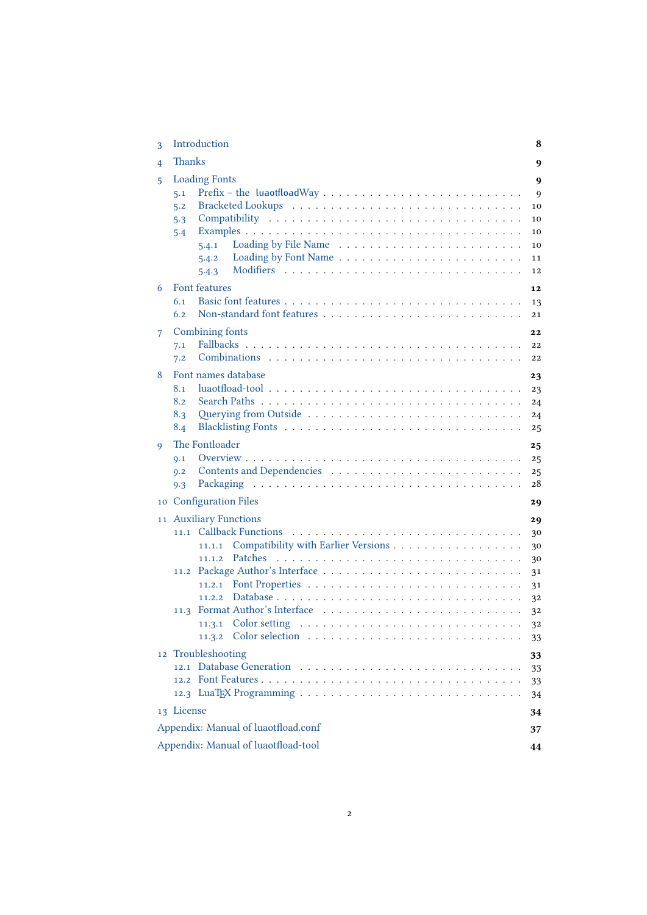<span id="page-1-0"></span>

| 3 | Introduction                                                                                                                                        | 8                                                              |  |  |  |
|---|-----------------------------------------------------------------------------------------------------------------------------------------------------|----------------------------------------------------------------|--|--|--|
| 4 | <b>Thanks</b><br>9                                                                                                                                  |                                                                |  |  |  |
| 5 | <b>Loading Fonts</b><br>5.1<br>5.2<br>5.3<br>5.4<br>5.4.1<br>5.4.2 Loading by Font Name $\ldots \ldots \ldots \ldots \ldots \ldots \ldots$<br>5.4.3 | 9<br>9<br>10<br>10<br>10<br>10<br>11<br>12                     |  |  |  |
| 6 | Font features<br>6.1<br>6.2                                                                                                                         | 12<br>13<br>21                                                 |  |  |  |
| 7 | Combining fonts<br>7.1<br>7.2                                                                                                                       | 22<br>22<br>22                                                 |  |  |  |
| 8 | Font names database<br>8.1<br>8.2<br>8.3<br>8.4                                                                                                     | 23<br>23<br>24<br>24<br>25                                     |  |  |  |
| 9 | The Fontloader<br>9.1<br>9.2<br>Packaging<br>9.3<br>10 Configuration Files                                                                          | 25<br>25<br>25<br>28<br>29                                     |  |  |  |
|   | 11 Auxiliary Functions<br>Compatibility with Earlier Versions<br>11.1.1<br>11.1.2<br>11.2.1<br>11.2.2<br>11.3.1 Color setting<br>12 Troubleshooting | 29<br>30<br>30<br>30<br>31<br>31<br>32<br>32<br>32<br>33<br>33 |  |  |  |
|   | 13 License                                                                                                                                          | 33<br>33<br>34<br>34                                           |  |  |  |
|   | Appendix: Manual of luaotfload.conf<br>37<br>Appendix: Manual of luaotfload-tool<br>44                                                              |                                                                |  |  |  |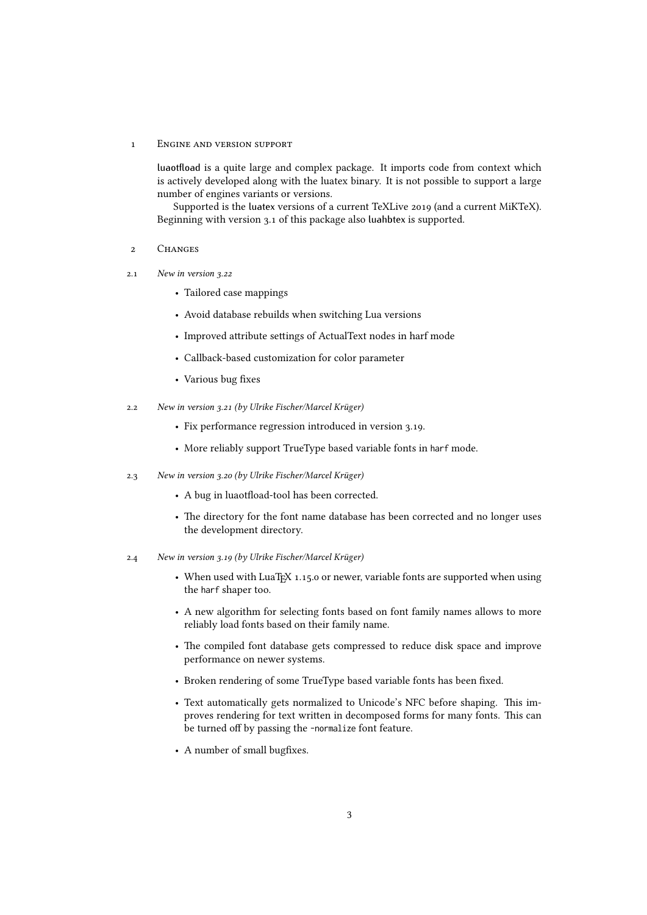#### 1 Engine and version support

luaotfload is a quite large and complex package. It imports code from context which is actively developed along with the luatex binary. It is not possible to support a large number of engines variants or versions.

<span id="page-2-0"></span>Supported is the luatex versions of a current TeXLive 2019 (and a current MiKTeX). Beginning with version 3.1 of this package also luahbtex is supported.

#### 2 Changes

- <span id="page-2-1"></span>2.1 New in version 3.22
	- Tailored case mappings
	- Avoid database rebuilds when switching Lua versions
	- Improved attribute settings of ActualText nodes in harf mode
	- Callback-based customization for color parameter
	- Various bug fixes
- <span id="page-2-2"></span>2.2 New in version 3.21 (by Ulrike Fischer/Marcel Krüger)
	- Fix performance regression introduced in version 3.19.
	- More reliably support TrueType based variable fonts in harf mode.
- <span id="page-2-3"></span>2.3 New in version 3.20 (by Ulrike Fischer/Marcel Krüger)
	- A bug in luaotfload-tool has been corrected.
	- The directory for the font name database has been corrected and no longer uses the development directory.
- <span id="page-2-5"></span><span id="page-2-4"></span>2.4 New in version 3.19 (by Ulrike Fischer/Marcel Krüger)
	- When used with LuaTEX 1.15.0 or newer, variable fonts are supported when using the harf shaper too.
	- A new algorithm for selecting fonts based on font family names allows to more reliably load fonts based on their family name.
	- The compiled font database gets compressed to reduce disk space and improve performance on newer systems.
	- Broken rendering of some TrueType based variable fonts has been fixed.
	- Text automatically gets normalized to Unicode's NFC before shaping. This improves rendering for text written in decomposed forms for many fonts. This can be turned off by passing the -normalize font feature.
	- A number of small bugfixes.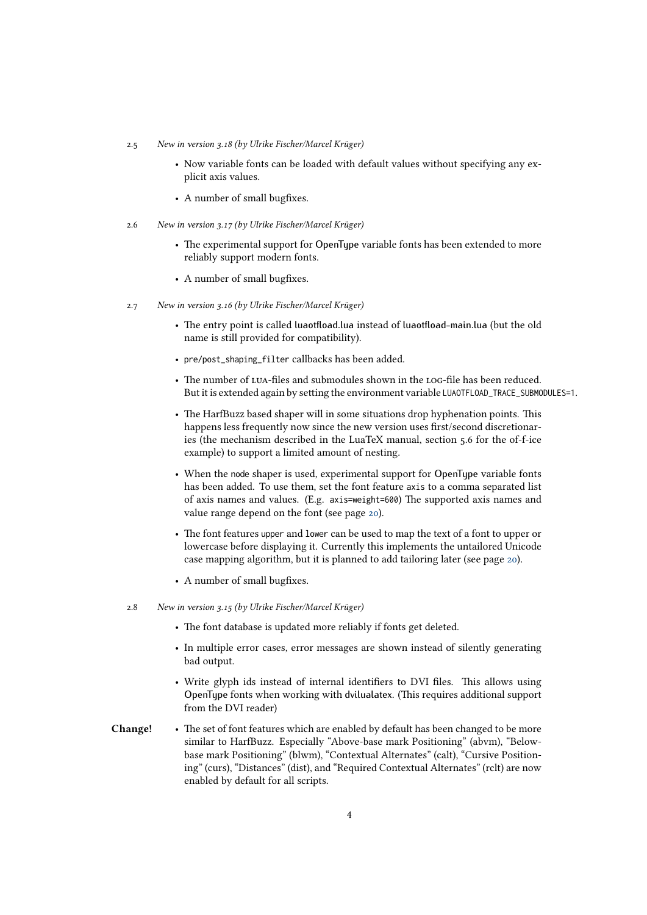- 2.5 New in version 3.18 (by Ulrike Fischer/Marcel Krüger)
	- Now variable fonts can be loaded with default values without specifying any explicit axis values.
	- A number of small bugfixes.
- <span id="page-3-0"></span>2.6 New in version 3.17 (by Ulrike Fischer/Marcel Krüger)
	- The experimental support for OpenType variable fonts has been extended to more reliably support modern fonts.
	- A number of small bugfixes.
- <span id="page-3-1"></span>2.7 New in version 3.16 (by Ulrike Fischer/Marcel Krüger)
	- The entry point is called luaotfload.lua instead of luaotfload-main.lua (but the old name is still provided for compatibility).
	- pre/post\_shaping\_filter callbacks has been added.
	- The number of LUA-files and submodules shown in the LOG-file has been reduced. But it is extended again by setting the environment variable LUAOTFLOAD\_TRACE\_SUBMODULES=1.
	- The HarfBuzz based shaper will in some situations drop hyphenation points. This happens less frequently now since the new version uses first/second discretionaries (the mechanism described in the LuaTeX manual, section 5.6 for the of-f-ice example) to support a limited amount of nesting.
	- When the node shaper is used, experimental support for OpenType variable fonts has been added. To use them, set the font feature axis to a comma separated list of axis names and values. (E.g. axis=weight=600) The supported axis names and value range depend on the font (see page [20\)](#page-19-0).
	- The font features upper and lower can be used to map the text of a font to upper or lowercase before displaying it. Currently this implements the untailored Unicode case mapping algorithm, but it is planned to add tailoring later (see page [20\)](#page-19-1).
	- A number of small bugfixes.
- <span id="page-3-2"></span>2.8 New in version 3.15 (by Ulrike Fischer/Marcel Krüger)
	- The font database is updated more reliably if fonts get deleted.
	- In multiple error cases, error messages are shown instead of silently generating bad output.
	- Write glyph ids instead of internal identifiers to DVI files. This allows using OpenType fonts when working with dvilualatex. (This requires additional support from the DVI reader)
- Change! The set of font features which are enabled by default has been changed to be more similar to HarfBuzz. Especially "Above-base mark Positioning" (abvm), "Belowbase mark Positioning" (blwm), "Contextual Alternates" (calt), "Cursive Positioning" (curs), "Distances" (dist), and "Required Contextual Alternates" (rclt) are now enabled by default for all scripts.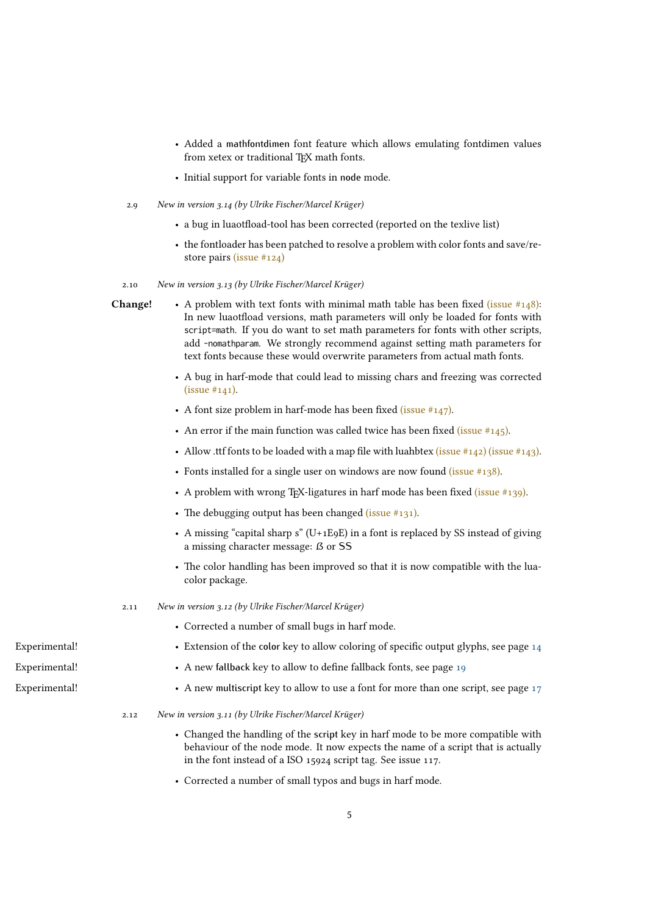- Added a mathfontdimen font feature which allows emulating fontdimen values from xetex or traditional T<sub>E</sub>X math fonts.
- <span id="page-4-0"></span>• Initial support for variable fonts in node mode.
- 2.9 New in version 3.14 (by Ulrike Fischer/Marcel Krüger)
	- a bug in luaotfload-tool has been corrected (reported on the texlive list)
	- the fontloader has been patched to resolve a problem with color fonts and save/restore pairs [\(issue #124\)](https://github.com/latex3/luaotfload/issues/124)

<span id="page-4-1"></span>2.10 New in version 3.13 (by Ulrike Fischer/Marcel Krüger)

- **Change!** A problem with text fonts with minimal math table has been fixed (issue  $\#148$ ): In new luaotfload versions, math parameters will only be loaded for fonts with script=math. If you do want to set math parameters for fonts with other scripts, add -nomathparam. We strongly recommend against setting math parameters for text fonts because these would overwrite parameters from actual math fonts.
	- A bug in harf-mode that could lead to missing chars and freezing was corrected  $(issue #141).$
	- A font size problem in harf-mode has been fixed (issue  $#147$ ).
	- An error if the main function was called twice has been fixed (issue  $\#145$ ).
	- Allow .ttf fonts to be loaded with a map file with luahbtex [\(issue #142\)](https://github.com/latex3/luaotfload/issues/142) [\(issue #143\).](https://github.com/latex3/luaotfload/issues/143)
	- Fonts installed for a single user on windows are now found (issue  $\#138$ ).
	- A problem with wrong T<sub>E</sub>X-ligatures in harf mode has been fixed  $(i\text{ssue #139})$ .
	- The debugging output has been changed [\(issue #131\).](https://github.com/latex3/luaotfload/issues/131)
	- A missing "capital sharp s" (U+1E9E) in a font is replaced by SS instead of giving a missing character message: ß or SS
	- The color handling has been improved so that it is now compatible with the luacolor package.
	- 2.11 New in version 3.12 (by Ulrike Fischer/Marcel Krüger)
		- Corrected a number of small bugs in harf mode.
- <span id="page-4-2"></span>Experimental! • Extension of the color key to allow coloring of specific output glyphs, see page [14](#page-13-0)
- Experimental! A new fallback key to allow to define fallback fonts, see page [19](#page-16-0)
- <span id="page-4-4"></span><span id="page-4-3"></span>Experimental! • A new multiscript key to allow to use a font for more than one script, see page [17](#page-16-0)
	- 2.12 New in version 3.11 (by Ulrike Fischer/Marcel Krüger)
		- Changed the handling of the script key in harf mode to be more compatible with behaviour of the node mode. It now expects the name of a script that is actually in the font instead of a ISO 15924 script tag. See issue 117.
		- Corrected a number of small typos and bugs in harf mode.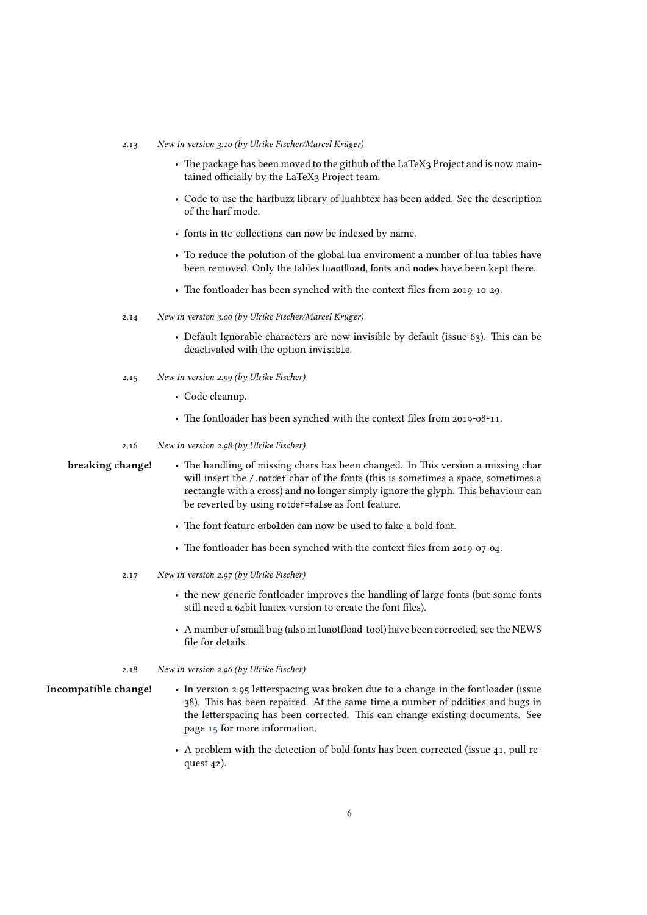#### 2.13 New in version 3.10 (by Ulrike Fischer/Marcel Krüger)

- The package has been moved to the github of the LaTeX3 Project and is now maintained officially by the LaTeX3 Project team.
- Code to use the harfbuzz library of luahbtex has been added. See the description of the harf mode.
- fonts in ttc-collections can now be indexed by name.
- To reduce the polution of the global lua enviroment a number of lua tables have been removed. Only the tables luaotfload, fonts and nodes have been kept there.
- <span id="page-5-0"></span>• The fontloader has been synched with the context files from 2019-10-29.
- 2.14 New in version 3.00 (by Ulrike Fischer/Marcel Krüger)
	- Default Ignorable characters are now invisible by default (issue 63). This can be deactivated with the option invisible.
- <span id="page-5-1"></span>2.15 New in version 2.99 (by Ulrike Fischer)
	- Code cleanup.
	- The fontloader has been synched with the context files from 2019-08-11.
- <span id="page-5-3"></span><span id="page-5-2"></span>2.16 New in version 2.98 (by Ulrike Fischer)

- breaking change! The handling of missing chars has been changed. In This version a missing char will insert the  $\prime$ .notdef char of the fonts (this is sometimes a space, sometimes a rectangle with a cross) and no longer simply ignore the glyph. This behaviour can be reverted by using notdef=false as font feature.
	- The font feature embolden can now be used to fake a bold font.
	- The fontloader has been synched with the context files from 2019-07-04.
	- 2.17 New in version 2.97 (by Ulrike Fischer)
		- the new generic fontloader improves the handling of large fonts (but some fonts still need a 64bit luatex version to create the font files).
		- A number of small bug (also in luaotfload-tool) have been corrected, see the NEWS file for details.
	- 2.18 New in version 2.96 (by Ulrike Fischer)

#### Incompatible change! • In version 2.95 letterspacing was broken due to a change in the fontloader (issue 38). This has been repaired. At the same time a number of oddities and bugs in the letterspacing has been corrected. This can change existing documents. See page [15](#page-14-0) for more information.

<span id="page-5-5"></span><span id="page-5-4"></span>• A problem with the detection of bold fonts has been corrected (issue 41, pull request 42).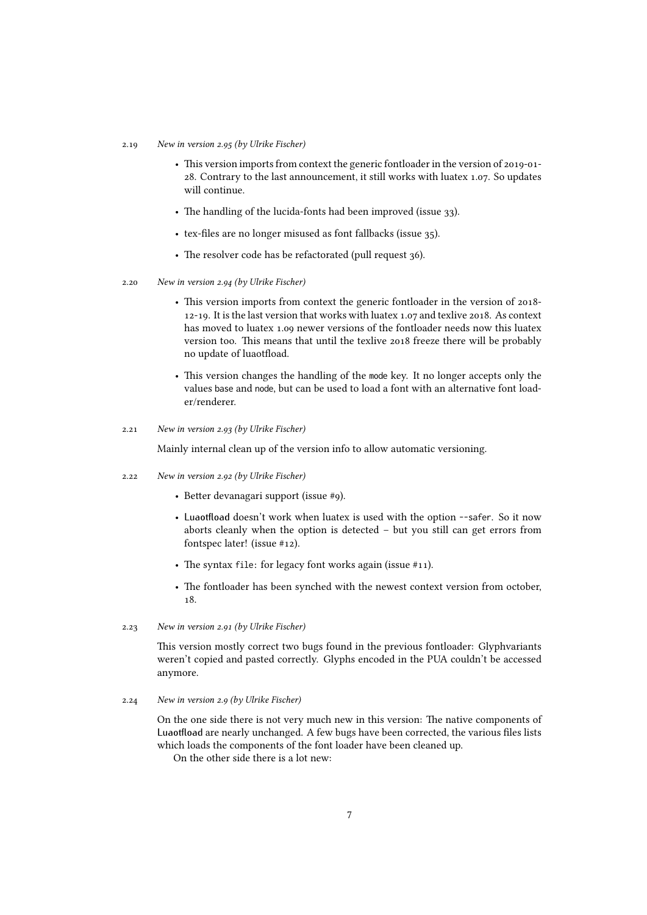#### 2.19 New in version 2.95 (by Ulrike Fischer)

- This version imports from context the generic fontloader in the version of 2019-01- 28. Contrary to the last announcement, it still works with luatex 1.07. So updates will continue.
- The handling of the lucida-fonts had been improved (issue 33).
- tex-files are no longer misused as font fallbacks (issue 35).
- <span id="page-6-0"></span>• The resolver code has be refactorated (pull request 36).
- 2.20 New in version 2.94 (by Ulrike Fischer)
	- This version imports from context the generic fontloader in the version of 2018- 12-19. It is the last version that works with luatex 1.07 and texlive 2018. As context has moved to luatex 1.09 newer versions of the fontloader needs now this luatex version too. This means that until the texlive 2018 freeze there will be probably no update of luaotfload.
	- This version changes the handling of the mode key. It no longer accepts only the values base and node, but can be used to load a font with an alternative font loader/renderer.
- 2.21 New in version 2.93 (by Ulrike Fischer)

<span id="page-6-2"></span><span id="page-6-1"></span>Mainly internal clean up of the version info to allow automatic versioning.

- 2.22 New in version 2.92 (by Ulrike Fischer)
	- Better devanagari support (issue #9).
	- Luaotfload doesn't work when luatex is used with the option --safer. So it now aborts cleanly when the option is detected – but you still can get errors from fontspec later! (issue #12).
	- The syntax file: for legacy font works again (issue #11).
	- The fontloader has been synched with the newest context version from october, 18.
- 2.23 New in version 2.91 (by Ulrike Fischer)

<span id="page-6-4"></span><span id="page-6-3"></span>This version mostly correct two bugs found in the previous fontloader: Glyphvariants weren't copied and pasted correctly. Glyphs encoded in the PUA couldn't be accessed anymore.

2.24 New in version 2.9 (by Ulrike Fischer)

On the one side there is not very much new in this version: The native components of Luaotfload are nearly unchanged. A few bugs have been corrected, the various files lists which loads the components of the font loader have been cleaned up.

On the other side there is a lot new: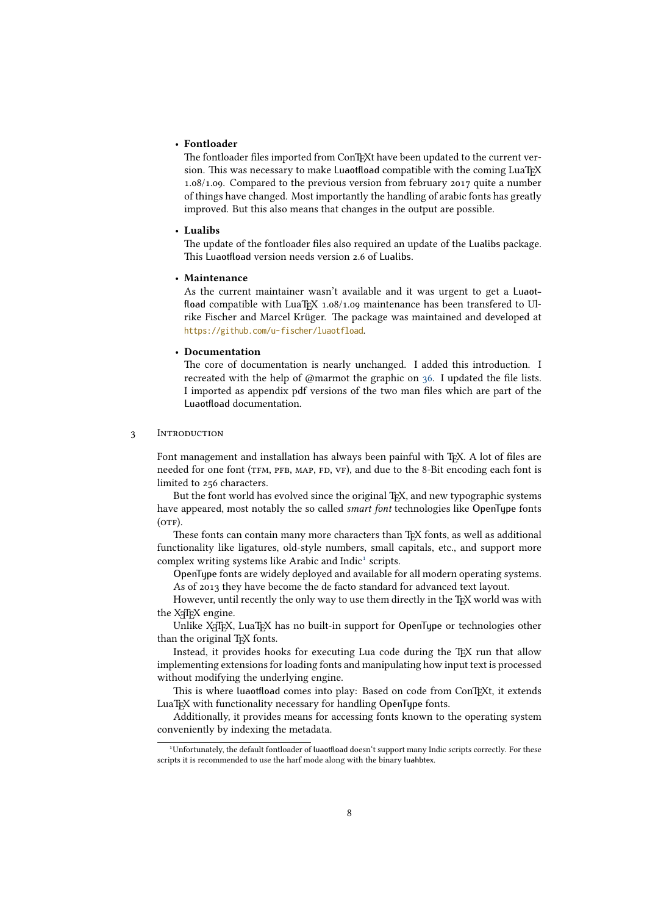#### • Fontloader

The fontloader files imported from ConTEXt have been updated to the current version. This was necessary to make Luaotfload compatible with the coming LuaTEX 1.08/1.09. Compared to the previous version from february 2017 quite a number of things have changed. Most importantly the handling of arabic fonts has greatly improved. But this also means that changes in the output are possible.

#### • Lualibs

The update of the fontloader files also required an update of the Lualibs package. This Luaotfload version needs version 2.6 of Lualibs.

#### • Maintenance

As the current maintainer wasn't available and it was urgent to get a Luaotfload compatible with LuaT<sub>EX</sub> 1.08/1.09 maintenance has been transfered to Ulrike Fischer and Marcel Krüger. The package was maintained and developed at <https://github.com/u-fischer/luaotfload>.

### • Documentation

The core of documentation is nearly unchanged. I added this introduction. I recreated with the help of @marmot the graphic on [36.](#page-33-1) I updated the file lists. I imported as appendix pdf versions of the two man files which are part of the Luaotfload documentation.

#### <span id="page-7-0"></span>3 INTRODUCTION

Font management and installation has always been painful with TEX. A lot of files are needed for one font (TFM, PFB, MAP, FD, VF), and due to the 8-Bit encoding each font is limited to 256 characters.

But the font world has evolved since the original T<sub>E</sub>X, and new typographic systems have appeared, most notably the so called *smart font* technologies like OpenType fonts  $(OFF).$ 

These fonts can contain many more characters than TEX fonts, as well as additional functionality like ligatures, old-style numbers, small capitals, etc., and support more complex writing systems like Arabic and Indic<sup>[1](#page-7-2)</sup> scripts.

OpenType fonts are widely deployed and available for all modern operating systems. As of 2013 they have become the de facto standard for advanced text layout.

However, until recently the only way to use them directly in the TFX world was with the X<sub>T</sub>IF<sub>X</sub> engine.

Unlike X<sub>T</sub>T<sub>E</sub>X, LuaT<sub>E</sub>X has no built-in support for OpenType or technologies other than the original T<sub>EX</sub> fonts.

Instead, it provides hooks for executing Lua code during the TEX run that allow implementing extensions for loading fonts and manipulating how input text is processed without modifying the underlying engine.

This is where luaotfload comes into play: Based on code from ConTEXt, it extends LuaT<sub>E</sub>X with functionality necessary for handling OpenType fonts.

Additionally, it provides means for accessing fonts known to the operating system conveniently by indexing the metadata.

<span id="page-7-2"></span><span id="page-7-1"></span><sup>&</sup>lt;sup>1</sup>Unfortunately, the default fontloader of luaotfload doesn't support many Indic scripts correctly. For these scripts it is recommended to use the harf mode along with the binary luahbtex.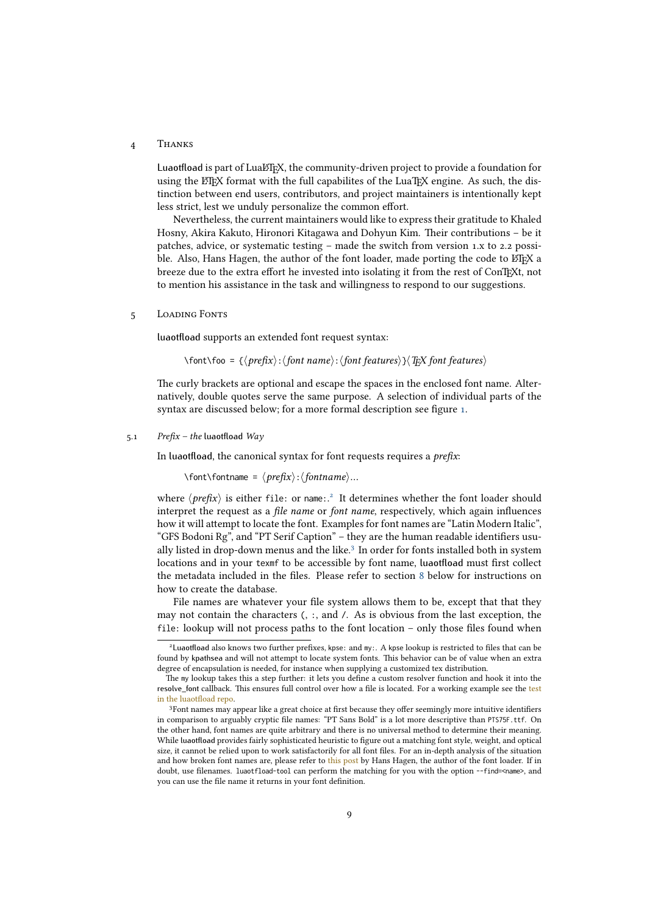#### 4 Thanks

Luaotfload is part of LuaLHEX, the community-driven project to provide a foundation for using the ET<sub>E</sub>X format with the full capabilites of the LuaT<sub>E</sub>X engine. As such, the distinction between end users, contributors, and project maintainers is intentionally kept less strict, lest we unduly personalize the common effort.

Nevertheless, the current maintainers would like to express their gratitude to Khaled Hosny, Akira Kakuto, Hironori Kitagawa and Dohyun Kim. Their contributions – be it patches, advice, or systematic testing – made the switch from version 1.x to 2.2 possible. Also, Hans Hagen, the author of the font loader, made porting the code to ETFX a breeze due to the extra effort he invested into isolating it from the rest of ConTEXt, not to mention his assistance in the task and willingness to respond to our suggestions.

<span id="page-8-0"></span>5 Loading Fonts

luaotfload supports an extended font request syntax:

\font\foo = { $\langle prefix \rangle$ : $\langle font name \rangle$ : $\langle font features \rangle$ } $\langle Tx \rangle$  font features}

<span id="page-8-1"></span>The curly brackets are optional and escape the spaces in the enclosed font name. Alternatively, double quotes serve the same purpose. A selection of individual parts of the syntax are discussed below; for a more formal description see figure [1.](#page-34-0)

#### 5.1 Prefix – the luaotfload  $Way$

In luaotfload, the canonical syntax for font requests requires a  $prefix$ :

 $\forall$ font $\forall$ fontname =  $\langle prefix \rangle$ : $\langle fontname \rangle$ ...

where  $\langle prefix \rangle$  is either file: or name:.<sup>[2](#page-8-2)</sup> It determines whether the font loader should interpret the request as a *file name* or *font name*, respectively, which again influences how it will attempt to locate the font. Examples for font names are "Latin Modern Italic", "GFS Bodoni Rg", and "PT Serif Caption" – they are the human readable identifiers usu-ally listed in drop-down menus and the like.<sup>[3](#page-8-3)</sup> In order for fonts installed both in system locations and in your texmf to be accessible by font name, luaotfload must first collect the metadata included in the files. Please refer to section [8](#page-22-0) below for instructions on how to create the database.

File names are whatever your file system allows them to be, except that that they may not contain the characters (, :, and /. As is obvious from the last exception, the file: lookup will not process paths to the font location – only those files found when

<span id="page-8-2"></span><sup>2</sup>Luaotfload also knows two further prefixes, kpse: and my:. A kpse lookup is restricted to files that can be found by kpathsea and will not attempt to locate system fonts. This behavior can be of value when an extra degree of encapsulation is needed, for instance when supplying a customized tex distribution.

The my lookup takes this a step further: it lets you define a custom resolver function and hook it into the resolve\_font callback. This ensures full control over how a file is located. For a working example see the [test](https://github.com/latex3/luaotfload/blob/main/testfiles/my-resolver.lvt) [in the luaotfload repo.](https://github.com/latex3/luaotfload/blob/main/testfiles/my-resolver.lvt)

<span id="page-8-3"></span><sup>3</sup>Font names may appear like a great choice at first because they offer seemingly more intuitive identifiers in comparison to arguably cryptic file names: "PT Sans Bold" is a lot more descriptive than PTS75F.ttf. On the other hand, font names are quite arbitrary and there is no universal method to determine their meaning. While luaotfload provides fairly sophisticated heuristic to figure out a matching font style, weight, and optical size, it cannot be relied upon to work satisfactorily for all font files. For an in-depth analysis of the situation and how broken font names are, please refer to [this post](http://www.ntg.nl/pipermail/ntg-context/2013/073889.html) by Hans Hagen, the author of the font loader. If in doubt, use filenames. luaotfload-tool can perform the matching for you with the option --find=<name>, and you can use the file name it returns in your font definition.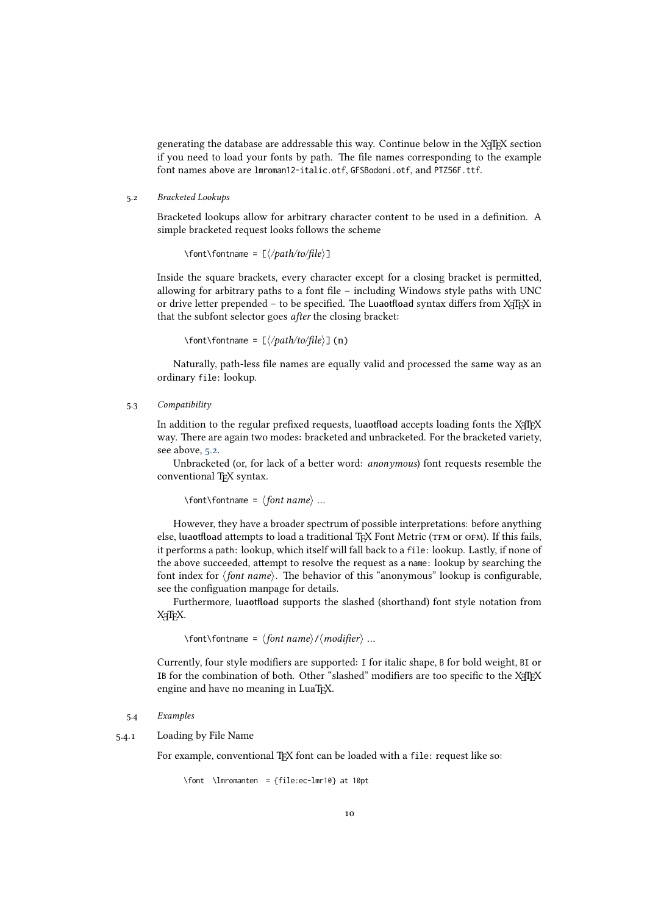<span id="page-9-0"></span>generating the database are addressable this way. Continue below in the X<sub>T</sub>IEX section if you need to load your fonts by path. The file names corresponding to the example font names above are lmroman12-italic.otf, GFSBodoni.otf, and PTZ56F.ttf.

#### 5.2 Bracketed Lookups

Bracketed lookups allow for arbitrary character content to be used in a definition. A simple bracketed request looks follows the scheme

 $\forall$ font $\forall$ fontname = [ $\langle\phi|$ 

Inside the square brackets, every character except for a closing bracket is permitted, allowing for arbitrary paths to a font file – including Windows style paths with UNC or drive letter prepended – to be specified. The Luaotfload syntax differs from X<sub>T</sub>T<sub>E</sub>X in that the subfont selector goes after the closing bracket:

\font\fontname = [⟨/path/to/file⟩] (n)

<span id="page-9-1"></span>Naturally, path-less file names are equally valid and processed the same way as an ordinary file: lookup.

#### 5.3 Compatibility

In addition to the regular prefixed requests, luaotfload accepts loading fonts the X<sub>T</sub>T<sub>E</sub>X way. There are again two modes: bracketed and unbracketed. For the bracketed variety, see above, [5.2.](#page-9-0)

Unbracketed (or, for lack of a better word: anonymous) font requests resemble the conventional T<sub>E</sub>X syntax.

 $\forall$  \font\fontname =  $\langle$  font name  $\rangle$  ...

However, they have a broader spectrum of possible interpretations: before anything else, luaotfload attempts to load a traditional TEX Font Metric (TFM or OFM). If this fails, it performs a path: lookup, which itself will fall back to a file: lookup. Lastly, if none of the above succeeded, attempt to resolve the request as a name: lookup by searching the font index for  $\langle$  font name $\rangle$ . The behavior of this "anonymous" lookup is configurable, see the configuation manpage for details.

Furthermore, luaotfload supports the slashed (shorthand) font style notation from XTFX.

\font\fontname = ⟨font name⟩/⟨modifier⟩ …

<span id="page-9-2"></span>Currently, four style modifiers are supported: I for italic shape, B for bold weight, BI or IB for the combination of both. Other "slashed" modifiers are too specific to the XTEX engine and have no meaning in LuaTEX.

#### 5.4 Examples

5.4.1 Loading by File Name

<span id="page-9-3"></span>For example, conventional T<sub>EX</sub> font can be loaded with a file: request like so:

\font \lmromanten = {file:ec-lmr10} at 10pt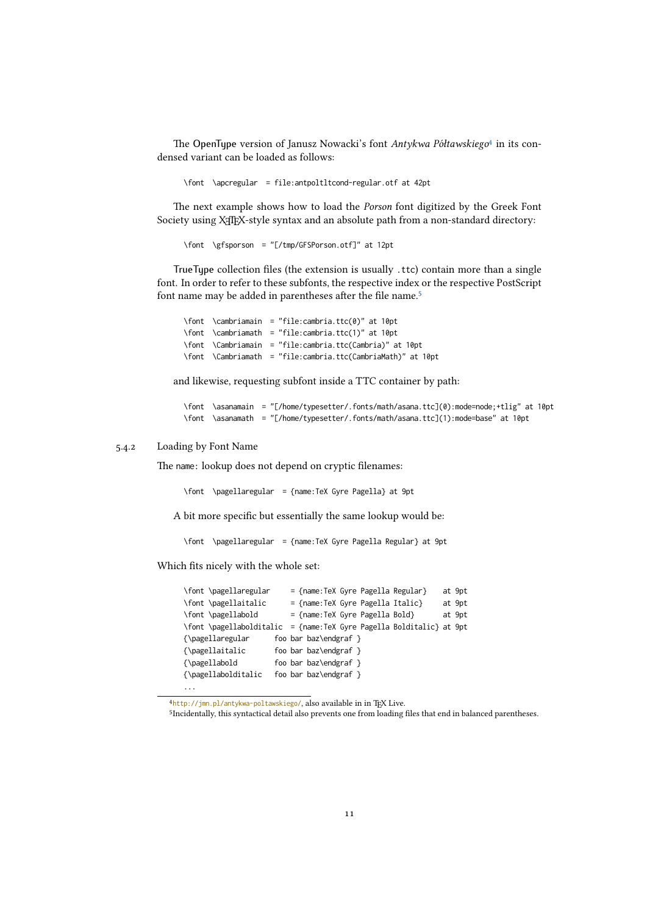The OpenType version of Janusz Nowacki's font Antykwa Półtawskiego<sup>[4](#page-10-2)</sup> in its condensed variant can be loaded as follows:

\font \apcregular = file:antpoltltcond-regular.otf at 42pt

The next example shows how to load the Porson font digitized by the Greek Font Society using X<sub>T</sub>T<sub>E</sub>X-style syntax and an absolute path from a non-standard directory:

\font \gfsporson = "[/tmp/GFSPorson.otf]" at 12pt

TrueType collection files (the extension is usually .ttc) contain more than a single font. In order to refer to these subfonts, the respective index or the respective PostScript font name may be added in parentheses after the file name.[5](#page-10-3)

\font \cambriamain = "file:cambria.ttc(0)" at 10pt \font \cambriamath = "file:cambria.ttc(1)" at 10pt \font \Cambriamain = "file:cambria.ttc(Cambria)" at 10pt \font \Cambriamath = "file:cambria.ttc(CambriaMath)" at 10pt

and likewise, requesting subfont inside a TTC container by path:

\font \asanamain = "[/home/typesetter/.fonts/math/asana.ttc](0):mode=node;+tlig" at 10pt \font \asanamath = "[/home/typesetter/.fonts/math/asana.ttc](1):mode=base" at 10pt

#### 5.4.2 Loading by Font Name

...

<span id="page-10-0"></span>The name: lookup does not depend on cryptic filenames:

\font \pagellaregular = {name:TeX Gyre Pagella} at 9pt

A bit more specific but essentially the same lookup would be:

\font \pagellaregular = {name:TeX Gyre Pagella Regular} at 9pt

Which fits nicely with the whole set:

| \font \pagellaregular |  | $=$ {name: TeX Gyre Pagella Regular}                                 | at 9pt |
|-----------------------|--|----------------------------------------------------------------------|--------|
| \font \pagellaitalic  |  | = {name:TeX Gyre Pagella Italic}                                     | at 9pt |
| \font \pagellabold    |  | $=$ {name: TeX Gyre Pagella Bold}                                    | at 9pt |
|                       |  | \font \pagellabolditalic = {name:TeX Gyre Pagella Bolditalic} at 9pt |        |
| {\pagellaregular      |  | foo bar baz\endgraf $\}$                                             |        |
| {\pagellaitalic       |  | foo bar baz\endgraf $\}$                                             |        |
| {\pagellabold         |  | foo bar baz\endgraf $\}$                                             |        |
| {\pagellabolditalic   |  | foo bar baz\endgraf $\}$                                             |        |

<span id="page-10-2"></span><span id="page-10-1"></span><sup>4</sup><http://jmn.pl/antykwa-poltawskiego/>, also available in in TEX Live.

<span id="page-10-3"></span><sup>5</sup> Incidentally, this syntactical detail also prevents one from loading files that end in balanced parentheses.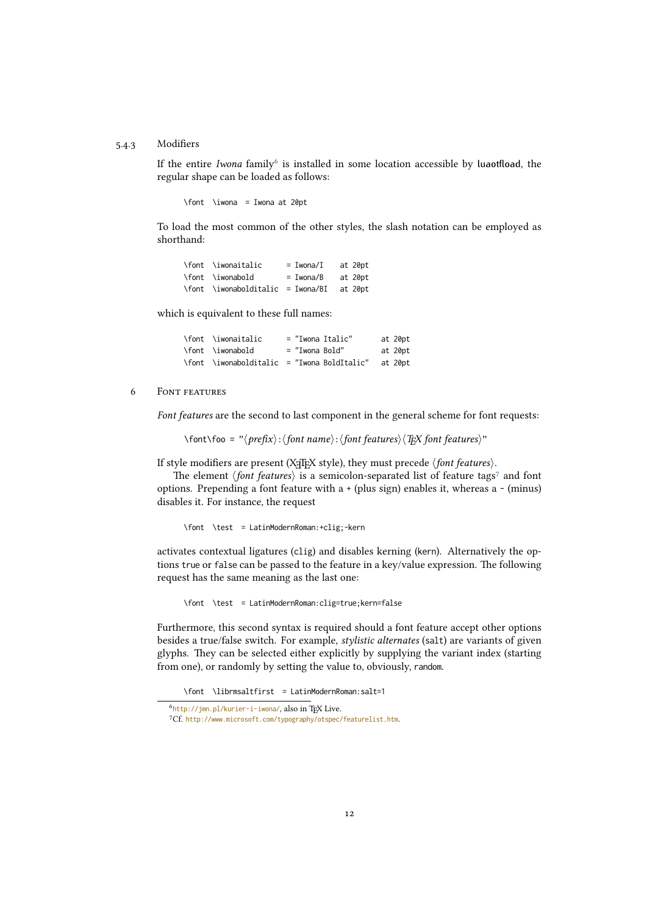#### 5.4.3 Modifiers

If the entire Iwona family<sup>[6](#page-11-2)</sup> is installed in some location accessible by luaotfload, the regular shape can be loaded as follows:

\font \iwona = Iwona at 20pt

To load the most common of the other styles, the slash notation can be employed as shorthand:

| \font \iwonaitalic                        | $= Iwona/I$ | at 20pt |
|-------------------------------------------|-------------|---------|
| \font \iwonabold                          | $= Iwona/B$ | at 20pt |
| \font \iwonabolditalic = Iwona/BI at 20pt |             |         |

which is equivalent to these full names:

| \font \iwonaitalic                          |                | = "Iwona Italic" | at 20pt |
|---------------------------------------------|----------------|------------------|---------|
| \font \iwonabold                            | = "Iwona Bold" |                  | at 20pt |
| \font \iwonabolditalic = "Iwona BoldItalic" |                |                  | at 20pt |

#### <span id="page-11-0"></span>6 Font features

Font features are the second to last component in the general scheme for font requests:

 $\forall$ font $\forall$ foo = " $\langle$ prefix $\rangle$ : $\langle$ font name $\rangle$ : $\langle$ font features $\rangle$  $\langle$ TEX font features $\rangle$ "

If style modifiers are present (X<sub>T</sub>T<sub>E</sub>X style), they must precede  $\langle$  font features $\rangle$ .

The element *\font features*} is a semicolon-separated list of feature tags<sup>[7](#page-11-3)</sup> and font options. Prepending a font feature with a + (plus sign) enables it, whereas a - (minus) disables it. For instance, the request

\font \test = LatinModernRoman:+clig;-kern

activates contextual ligatures (clig) and disables kerning (kern). Alternatively the options true or false can be passed to the feature in a key/value expression. The following request has the same meaning as the last one:

\font \test = LatinModernRoman:clig=true;kern=false

Furthermore, this second syntax is required should a font feature accept other options besides a true/false switch. For example, *stylistic alternates* (salt) are variants of given glyphs. They can be selected either explicitly by supplying the variant index (starting from one), or randomly by setting the value to, obviously, random.

\font \librmsaltfirst = LatinModernRoman:salt=1

<span id="page-11-2"></span><span id="page-11-1"></span><sup>&</sup>lt;sup>6</sup><http://jmn.pl/kurier-i-iwona/>, also in TEX Live.

<span id="page-11-3"></span><sup>7</sup>Cf. <http://www.microsoft.com/typography/otspec/featurelist.htm>.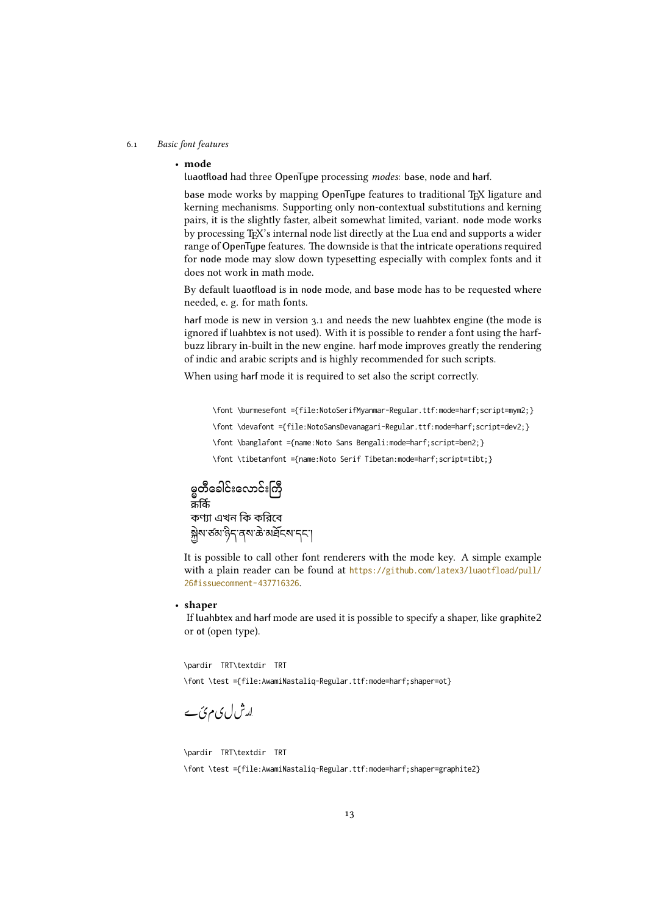#### 6.1 Basic font features

#### • mode

luaotfload had three OpenType processing modes: base, node and harf.

base mode works by mapping OpenType features to traditional TFX ligature and kerning mechanisms. Supporting only non-contextual substitutions and kerning pairs, it is the slightly faster, albeit somewhat limited, variant. node mode works by processing TEX's internal node list directly at the Lua end and supports a wider range of OpenType features. The downside is that the intricate operations required for node mode may slow down typesetting especially with complex fonts and it does not work in math mode.

By default luaotfload is in node mode, and base mode has to be requested where needed, e. g. for math fonts.

harf mode is new in version 3.1 and needs the new luahbtex engine (the mode is ignored if luahbtex is not used). With it is possible to render a font using the harfbuzz library in-built in the new engine. harf mode improves greatly the rendering of indic and arabic scripts and is highly recommended for such scripts.

When using harf mode it is required to set also the script correctly.

\font \burmesefont ={file:NotoSerifMyanmar-Regular.ttf:mode=harf;script=mym2;}

\font \devafont ={file:NotoSansDevanagari-Regular.ttf:mode=harf;script=dev2;}

\font \banglafont ={name:Noto Sans Bengali:mode=harf;script=ben2;}

\font \tibetanfont ={name:Noto Serif Tibetan:mode=harf;script=tibt;}

မ္မတီခေါင်းလောင်းကြီး<br>  $\pi$ fiffs<br>  $\pi$ frif 4 थन कि कवित्व<br>
မ္ဘိုး 1913 (1914 က နားချင်း<br>
It is possible to call of<br>
with a plain reader can<br>
26 *i*ssuecomment-437716:<br>
• **shaper**<br>
If luahbtex and harf mo<br>
or ot (open ty ....<br>কণ্যা এখন কি করিবে ক্সুম'ৰ্ডম'ন্ত্ৰীন ক'ৰাই নাই কাৰ্য্য

ক<br>  $\vec{r}$ <br>  $\vec{r}$ <br>  $\vec{r}$ <br>  $\vec{r}$ <br>  $\vec{r}$ <br>  $\vec{r}$ <br>  $\vec{r}$ <br>  $\vec{r}$ <br>  $\vec{r}$ <br>  $\vec{r}$ <br>  $\vec{r}$ <br>  $\vec{r}$ <br>  $\vec{r}$ <br>  $\vec{r}$ <br>  $\vec{r}$ <br>  $\vec{r}$ <br>  $\vec{r}$ <br>  $\vec{r}$ <br>  $\vec{r}$ <br>  $\vec{r}$ <br>  $\vec{r}$ <br>  $\vec{r}$ <br>  $\vec{r}$ <br>  $\vec{r}$ <br> কণ্যা এখন কি ক<br>
মুখ ভঁঝ'ট্ৰি' বৃষ<sup>2</sup><br>
It is possible to c:<br>
with a plain read<br>
26 stissuecomment-4<br>
• **shaper**<br>
If luahbtex and he<br>
or ot (open type).<br>
\pardir TRT\textdi<br>
\font \test ={file:<br>  $\begin{bmatrix} \mathbf{r} & \mathbf{r} \\ \mathbf{r}$ It is possible to call other font renderers with the mode key. A simple example with a plain reader can be found at [https://github.com/latex3/luaotfload/pull/](https://github.com/latex3/luaotfload/pull/26#issuecomment-437716326) [26#issuecomment-437716326](https://github.com/latex3/luaotfload/pull/26#issuecomment-437716326).

#### • shaper

If luahbtex and harf mode are used it is possible to specify a shaper, like graphite2 or ot (open type).

\pardir TRT\textdir TRT \font \test ={file:AwamiNastaliq-Regular.ttf:mode=harf;shaper=ot}

ل کی م ٹی<br>pardir TRT<br>Yfont \test\font \test\ \pardir TRT\textdir TRT \font \test ={file:AwamiNastaliq-Regular.ttf:mode=harf;shaper=graphite2}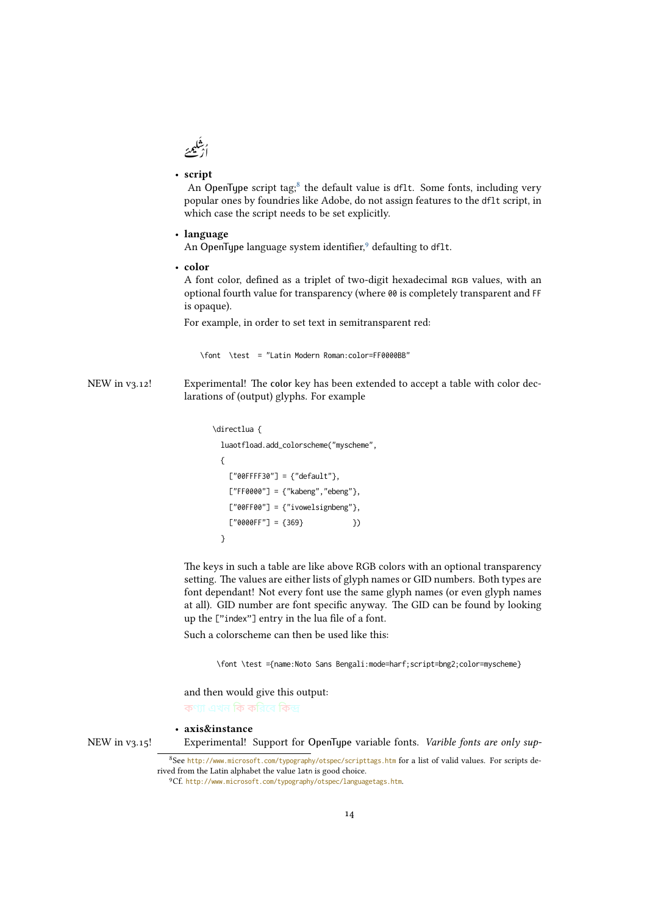

#### • script

<span id="page-13-3"></span>An OpenType script tag; $^8$  $^8$  the default value is df1t. Some fonts, including very popular ones by foundries like Adobe, do not assign features to the dflt script, in which case the script needs to be set explicitly.

#### • language

An OpenType language system identifier,<sup>[9](#page-13-2)</sup> defaulting to df1t.

• color

A font color, defined as a triplet of two-digit hexadecimal RGB values, with an optional fourth value for transparency (where 00 is completely transparent and FF is opaque).

For example, in order to set text in semitransparent red:

<span id="page-13-0"></span>\font \test = "Latin Modern Roman:color=FF0000BB"

**Example 18**<br>
In An and the polynomic state of the control of the control of the control of the control of the control of the state of the control of the control of the control of the control of the control of the control 22<br>
Sources are the set of the set of the set of the set of the set of the set of the set of the set of the set of the set of the set of the set of the set of the set of the set of the set of the set of the set of the set NEW in  $v_3.12!$  Experimental! The color key has been extended to accept a table with color declarations of (output) glyphs. For example

```
\directlua {
 luaotfload.add_colorscheme("myscheme",
 {
   ['000FFFF30"] = {"default"},
   ['FF0000"] = {''kabeng'', 'ebeng'},['00FF00"] = {''ivowelsignbeng";['00000FF"] = \{369\} })
 }
```
The keys in such a table are like above RGB colors with an optional transparency setting. The values are either lists of glyph names or GID numbers. Both types are font dependant! Not every font use the same glyph names (or even glyph names at all). GID number are font specific anyway. The GID can be found by looking up the ["index"] entry in the lua file of a font.

Such a colorscheme can then be used like this:

\font \test ={name:Noto Sans Bengali:mode=harf;script=bng2;color=myscheme}

and then would give this output: কণ্যা এখন কি করিবে কিন্দ্র

#### • axis&instance

NEW in v3.15! Experimental! Support for OpenType variable fonts. Varible fonts are only sup-

<span id="page-13-1"></span><sup>8</sup>See <http://www.microsoft.com/typography/otspec/scripttags.htm> for a list of valid values. For scripts derived from the Latin alphabet the value latn is good choice.

<span id="page-13-2"></span><sup>9</sup>Cf. <http://www.microsoft.com/typography/otspec/languagetags.htm>.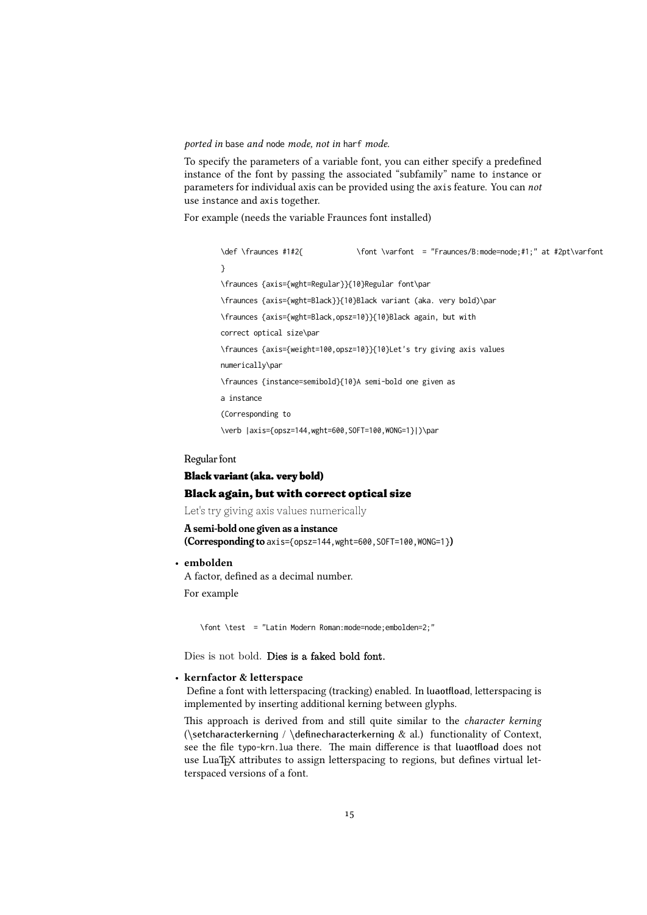ported in base and node mode, not in harf mode.

To specify the parameters of a variable font, you can either specify a predefined instance of the font by passing the associated "subfamily" name to instance or parameters for individual axis can be provided using the axis feature. You can not use instance and axis together.

For example (needs the variable Fraunces font installed)

\def \fraunces #1#2{ \font \varfont = "Fraunces/B:mode=node;#1;" at #2pt\varfont } \fraunces {axis={wght=Regular}}{10}Regular font\par \fraunces {axis={wght=Black}}{10}Black variant (aka. very bold)\par \fraunces {axis={wght=Black,opsz=10}}{10}Black again, but with correct optical size\par \fraunces {axis={weight=100,opsz=10}}{10}Let's try giving axis values numerically\par \fraunces {instance=semibold}{10}A semi-bold one given as a instance (Corresponding to \verb |axis={opsz=144,wght=600,SOFT=100,WONG=1}|)\par

#### Regular font

### Black variant (aka. very bold) Black again, but with correct optical size

Let's try giving axis values numerically

#### A semi-bold one given as a instance

(Corresponding to axis={opsz=144, wght=600, SOFT=100, WONG=1})

#### • embolden

A factor, defined as a decimal number.

For example

\font \test = "Latin Modern Roman:mode=node;embolden=2;"

Dies is not bold. Dies is a faked bold font.

#### • kernfactor & letterspace

<span id="page-14-0"></span>Define a font with letterspacing (tracking) enabled. In luaotfload, letterspacing is implemented by inserting additional kerning between glyphs.

This approach is derived from and still quite similar to the character kerning (\setcharacterkerning / \definecharacterkerning  $\&$  al.) functionality of Context, see the file typo-krn.lua there. The main difference is that luaotfload does not use LuaT<sub>E</sub>X attributes to assign letterspacing to regions, but defines virtual letterspaced versions of a font.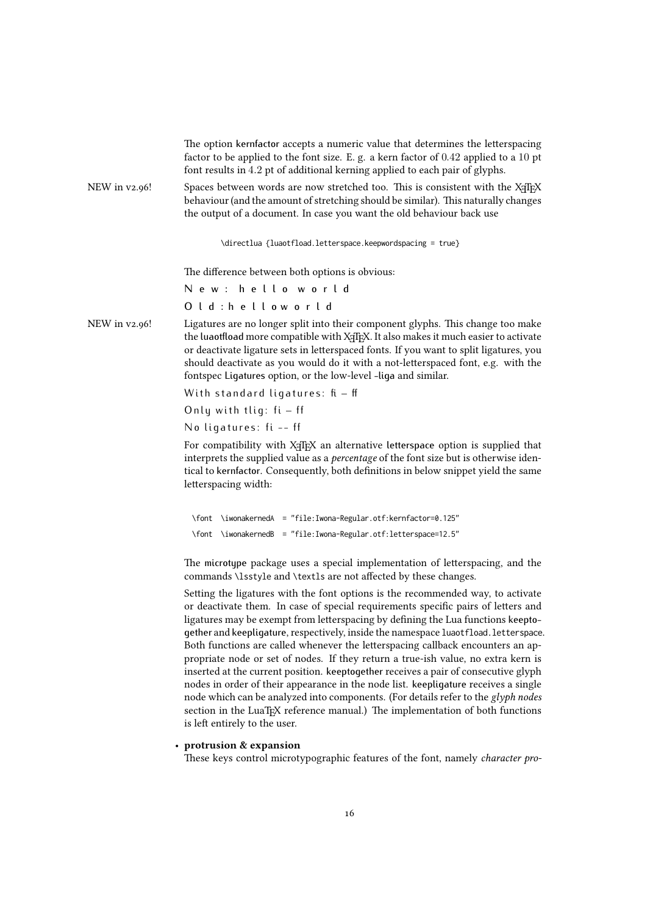|               | The option kernfactor accepts a numeric value that determines the letterspacing<br>factor to be applied to the font size. E. g. a kern factor of $0.42$ applied to a 10 pt<br>font results in 4.2 pt of additional kerning applied to each pair of glyphs.                                                                                                                                                                                                                                                                                                                                                                                                                                                                                                                                  |  |  |  |  |
|---------------|---------------------------------------------------------------------------------------------------------------------------------------------------------------------------------------------------------------------------------------------------------------------------------------------------------------------------------------------------------------------------------------------------------------------------------------------------------------------------------------------------------------------------------------------------------------------------------------------------------------------------------------------------------------------------------------------------------------------------------------------------------------------------------------------|--|--|--|--|
| NEW in v2.96! | Spaces between words are now stretched too. This is consistent with the XqTpX<br>behaviour (and the amount of stretching should be similar). This naturally changes<br>the output of a document. In case you want the old behaviour back use                                                                                                                                                                                                                                                                                                                                                                                                                                                                                                                                                |  |  |  |  |
|               | \directlua {luaotfload.letterspace.keepwordspacing = true}                                                                                                                                                                                                                                                                                                                                                                                                                                                                                                                                                                                                                                                                                                                                  |  |  |  |  |
|               | The difference between both options is obvious:                                                                                                                                                                                                                                                                                                                                                                                                                                                                                                                                                                                                                                                                                                                                             |  |  |  |  |
|               | New: helloworld                                                                                                                                                                                                                                                                                                                                                                                                                                                                                                                                                                                                                                                                                                                                                                             |  |  |  |  |
|               | Old: hellow orld                                                                                                                                                                                                                                                                                                                                                                                                                                                                                                                                                                                                                                                                                                                                                                            |  |  |  |  |
| NEW in v2.96! | Ligatures are no longer split into their component glyphs. This change too make<br>the luaotfload more compatible with X <sub>T</sub> T <sub>F</sub> X. It also makes it much easier to activate<br>or deactivate ligature sets in letterspaced fonts. If you want to split ligatures, you<br>should deactivate as you would do it with a not-letterspaced font, e.g. with the<br>fontspec Ligatures option, or the low-level -liga and similar.                                                                                                                                                                                                                                                                                                                                            |  |  |  |  |
|               | With standard ligatures: $fi - ff$                                                                                                                                                                                                                                                                                                                                                                                                                                                                                                                                                                                                                                                                                                                                                          |  |  |  |  |
|               | Only with tlig: $fi - ff$                                                                                                                                                                                                                                                                                                                                                                                                                                                                                                                                                                                                                                                                                                                                                                   |  |  |  |  |
|               | No ligatures: fi -- ff                                                                                                                                                                                                                                                                                                                                                                                                                                                                                                                                                                                                                                                                                                                                                                      |  |  |  |  |
|               | For compatibility with XqTEX an alternative letterspace option is supplied that<br>interprets the supplied value as a <i>percentage</i> of the font size but is otherwise iden-<br>tical to kernfactor. Consequently, both definitions in below snippet yield the same<br>letterspacing width:                                                                                                                                                                                                                                                                                                                                                                                                                                                                                              |  |  |  |  |
|               | \font \iwonakernedA = "file:Iwona-Regular.otf:kernfactor=0.125"                                                                                                                                                                                                                                                                                                                                                                                                                                                                                                                                                                                                                                                                                                                             |  |  |  |  |
|               | \font \iwonakernedB = "file:Iwona-Regular.otf:letterspace=12.5"                                                                                                                                                                                                                                                                                                                                                                                                                                                                                                                                                                                                                                                                                                                             |  |  |  |  |
|               | The microtype package uses a special implementation of letterspacing, and the<br>commands \lsstyle and \textls are not affected by these changes.                                                                                                                                                                                                                                                                                                                                                                                                                                                                                                                                                                                                                                           |  |  |  |  |
|               | Setting the ligatures with the font options is the recommended way, to activate<br>or deactivate them. In case of special requirements specific pairs of letters and<br>ligatures may be exempt from letterspacing by defining the Lua functions keepto-<br>gether and keepligature, respectively, inside the namespace luaotfload. letterspace.<br>Both functions are called whenever the letterspacing callback encounters an ap-<br>propriate node or set of nodes. If they return a true-ish value, no extra kern is<br>inserted at the current position. keeptogether receives a pair of consecutive glyph<br>nodes in order of their appearance in the node list. keepligature receives a single<br>node which can be analyzed into components. (For details refer to the glyph nodes |  |  |  |  |

### • protrusion & expansion

is left entirely to the user.

These keys control microtypographic features of the font, namely character pro-

section in the LuaTEX reference manual.) The implementation of both functions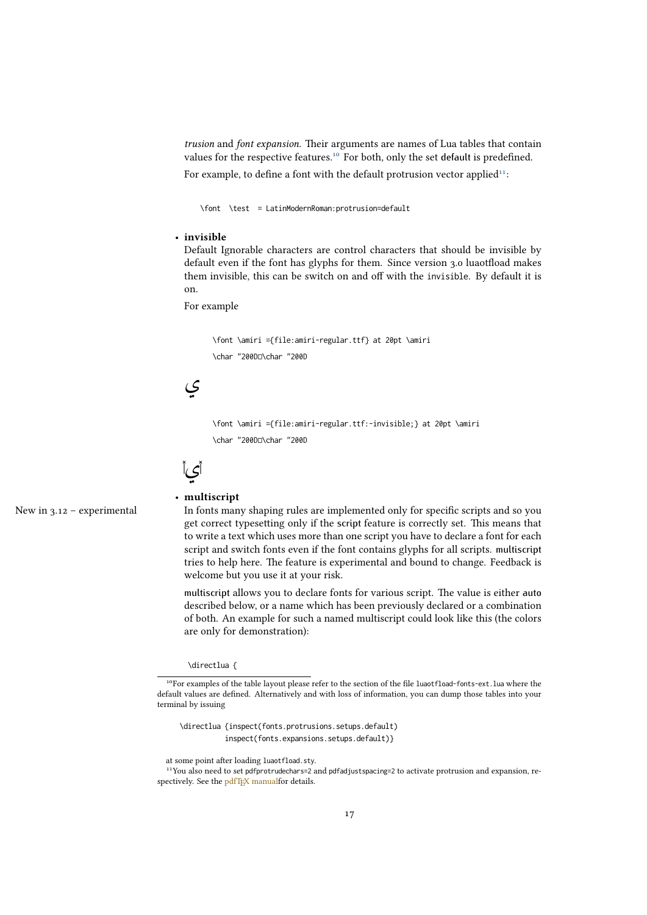trusion and font expansion. Their arguments are names of Lua tables that contain values for the respective features.<sup>[10](#page-16-1)</sup> For both, only the set default is predefined. For example, to define a font with the default protrusion vector applied<sup>[11](#page-16-2)</sup>:

\font \test = LatinModernRoman:protrusion=default

#### • invisible

Default Ignorable characters are control characters that should be invisible by default even if the font has glyphs for them. Since version 3.0 luaotfload makes them invisible, this can be switch on and off with the invisible. By default it is on.

For example

\font \amiri ={file:amiri-regular.ttf} at 20pt \amiri \char "200D<sub>[10</sub> \char "200D



\font \amiri ={file:amiri-regular.ttf:-invisible;} at 20pt \amiri \char "200D<sub>D\char</sub> "200D



#### <span id="page-16-0"></span>• multiscript

New in 3.12 – experimental In fonts many shaping rules are implemented only for specific scripts and so you get correct typesetting only if the script feature is correctly set. This means that to write a text which uses more than one script you have to declare a font for each script and switch fonts even if the font contains glyphs for all scripts. multiscript tries to help here. The feature is experimental and bound to change. Feedback is welcome but you use it at your risk.

> multiscript allows you to declare fonts for various script. The value is either auto described below, or a name which has been previously declared or a combination of both. An example for such a named multiscript could look like this (the colors are only for demonstration):

#### \directlua {

\directlua {inspect(fonts.protrusions.setups.default) inspect(fonts.expansions.setups.default)}

<span id="page-16-1"></span><sup>&</sup>lt;sup>10</sup>For examples of the table layout please refer to the section of the file luaotfload-fonts-ext.lua where the default values are defined. Alternatively and with loss of information, you can dump those tables into your terminal by issuing

<span id="page-16-2"></span>at some point after loading luaotfload.sty.

<sup>&</sup>lt;sup>11</sup>You also need to set pdfprotrudechars=2 and pdfadjustspacing=2 to activate protrusion and expansion, respectively. See the [pdfTEX manualf](http://mirrors.ctan.org/systems/pdftex/manual/pdftex-a.pdf)or details.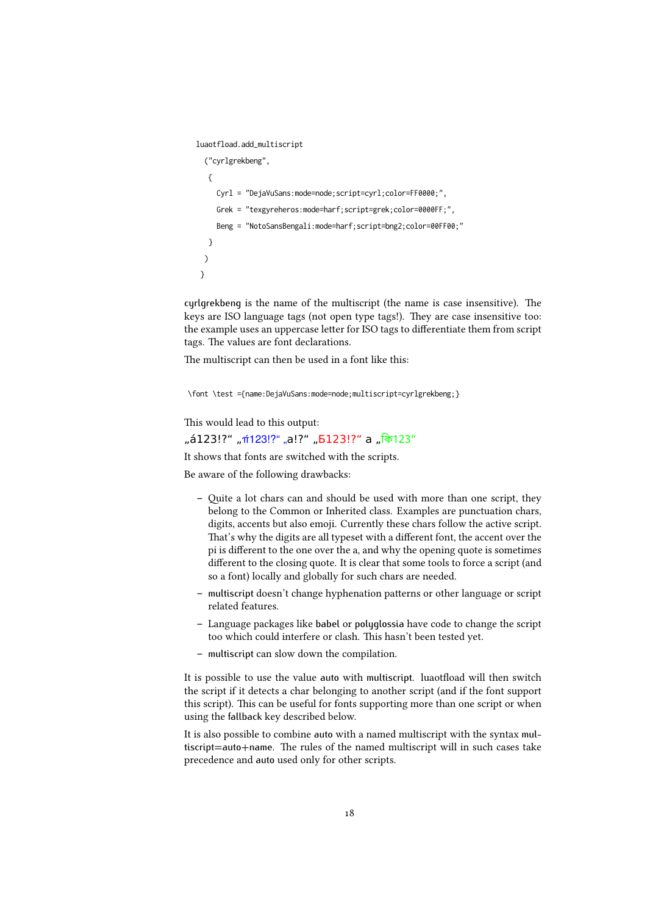```
luaotfload.add_multiscript
  ("cyrlgrekbeng",
  {
    Cyrl = "DejaVuSans:mode=node;script=cyrl;color=FF0000;",
    Grek = "texgyreheros:mode=harf;script=grek;color=0000FF;",
    Beng = "NotoSansBengali:mode=harf;script=bng2;color=00FF00;"
  }
 )
}
```
cyrlgrekbeng is the name of the multiscript (the name is case insensitive). The keys are ISO language tags (not open type tags!). They are case insensitive too: the example uses an uppercase letter for ISO tags to differentiate them from script tags. The values are font declarations.

The multiscript can then be used in a font like this:

\font \test ={name:DejaVuSans:mode=node;multiscript=cyrlgrekbeng;}

This would lead to this output:

### "á123!?" "<del>i</del>123!?" "a!?" "Б123!?" a "কি123"

It shows that fonts are switched with the scripts.

Be aware of the following drawbacks:

- Quite a lot chars can and should be used with more than one script, they belong to the Common or Inherited class. Examples are punctuation chars, digits, accents but also emoji. Currently these chars follow the active script. That's why the digits are all typeset with a different font, the accent over the pi is different to the one over the a, and why the opening quote is sometimes different to the closing quote. It is clear that some tools to force a script (and so a font) locally and globally for such chars are needed.
- multiscript doesn't change hyphenation patterns or other language or script related features.
- Language packages like babel or polyglossia have code to change the script too which could interfere or clash. This hasn't been tested yet.
- multiscript can slow down the compilation.

It is possible to use the value auto with multiscript. luaotfload will then switch the script if it detects a char belonging to another script (and if the font support this script). This can be useful for fonts supporting more than one script or when using the fallback key described below.

It is also possible to combine auto with a named multiscript with the syntax multiscript=auto+name. The rules of the named multiscript will in such cases take precedence and auto used only for other scripts.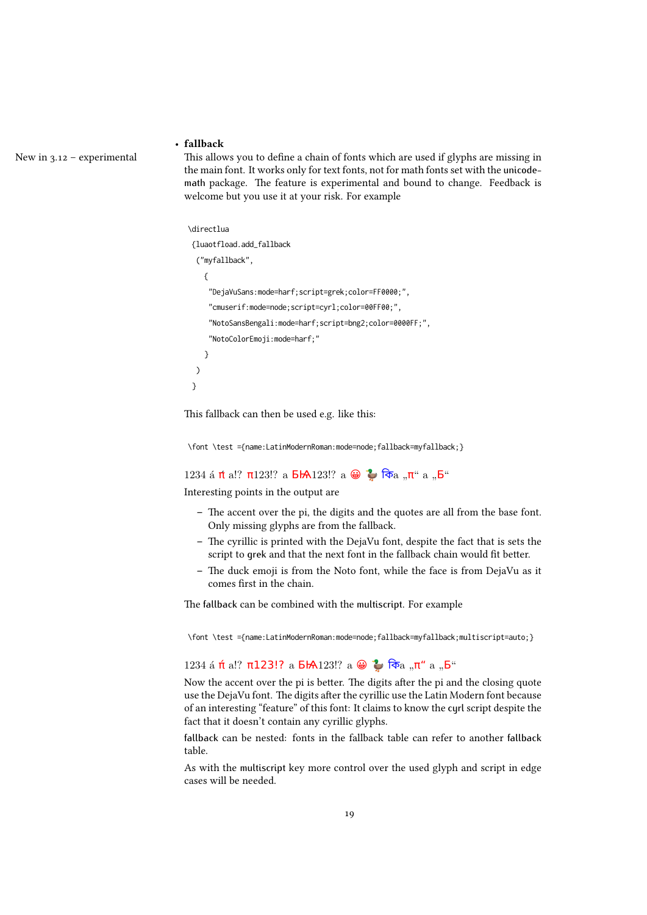#### • fallback

New in  $3.12$  – experimental This allows you to define a chain of fonts which are used if glyphs are missing in the main font. It works only for text fonts, not for math fonts set with the unicodemath package. The feature is experimental and bound to change. Feedback is welcome but you use it at your risk. For example

#### \directlua

```
{luaotfload.add_fallback
 ("myfallback",
  {
    "DejaVuSans:mode=harf;script=grek;color=FF0000;",
    "cmuserif:mode=node;script=cyrl;color=00FF00;",
    "NotoSansBengali:mode=harf;script=bng2;color=0000FF;",
    "NotoColorEmoji:mode=harf;"
  }
)
}
```
This fallback can then be used e.g. like this:

\font \test ={name:LatinModernRoman:mode=node;fallback=myfallback;}

1234 á π a!? π123!? a  $\overline{B}$   $\overline{A}$  123!? a  $\oplus$   $\stackrel{\bullet}{\bullet}$   $\overline{B}$   $\overline{B}$   $\overline{a}$  ,  $\overline{n}$  " a  $\overline{b}$   $\overline{b}$  "

Interesting points in the output are

- The accent over the pi, the digits and the quotes are all from the base font. Only missing glyphs are from the fallback.
- The cyrillic is printed with the DejaVu font, despite the fact that is sets the script to grek and that the next font in the fallback chain would fit better.
- The duck emoji is from the Noto font, while the face is from DejaVu as it comes first in the chain.

The fallback can be combined with the multiscript. For example

\font \test ={name:LatinModernRoman:mode=node;fallback=myfallback;multiscript=auto;}

### 1234 á π<sup>ί</sup> a!? π123!? a **5<sup>1</sup>A** 123!? a  $\bigoplus$   $\bigoplus$   $\bigoplus$  π<sup>α</sup> a <sub>"</sub><sup>6</sup>"

Now the accent over the pi is better. The digits after the pi and the closing quote use the DejaVu font. The digits after the cyrillic use the Latin Modern font because of an interesting "feature" of this font: It claims to know the cyrl script despite the fact that it doesn't contain any cyrillic glyphs.

fallback can be nested: fonts in the fallback table can refer to another fallback table.

As with the multiscript key more control over the used glyph and script in edge cases will be needed.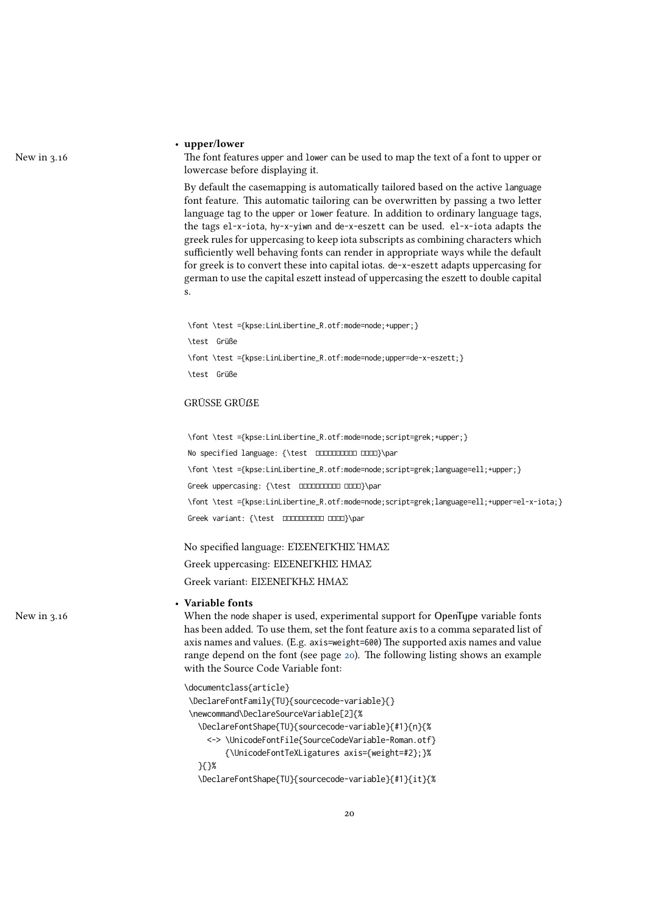#### <span id="page-19-1"></span>• upper/lower

New in 3.16 The font features upper and lower can be used to map the text of a font to upper or lowercase before displaying it.

> By default the casemapping is automatically tailored based on the active language font feature. This automatic tailoring can be overwritten by passing a two letter language tag to the upper or lower feature. In addition to ordinary language tags, the tags el-x-iota, hy-x-yiwn and de-x-eszett can be used. el-x-iota adapts the greek rules for uppercasing to keep iota subscripts as combining characters which sufficiently well behaving fonts can render in appropriate ways while the default for greek is to convert these into capital iotas. de-x-eszett adapts uppercasing for german to use the capital eszett instead of uppercasing the eszett to double capital s.

\font \test ={kpse:LinLibertine\_R.otf:mode=node;+upper;} \test Grüße \font \test ={kpse:LinLibertine\_R.otf:mode=node;upper=de-x-eszett;} \test Grüße

#### **GRÜSSE GRÜßE**

\font \test ={kpse:LinLibertine\_R.otf:mode=node;script=grek;+upper;} No specified language: {\test **000000000 0000}\par** \font \test ={kpse:LinLibertine\_R.otf:mode=node;script=grek;language=ell;+upper;} Greek uppercasing: {\test **DDDDDDDDD** DDDD}\par \font \test ={kpse:LinLibertine\_R.otf:mode=node;script=grek;language=ell;+upper=el-x-iota;} Greek variant: {\test **DDDDDDDDD** DDD}\par

No specified language: ΕἸΣΕΝΈΓΚΉΙΣ ἩΜΑ͂Σ

Greek uppercasing: ΕΙΣΕΝΕΓΚΗΙΣ ΗΜΑΣ Greek variant: ΕΙΣΕΝΕΓΚῌΣ ΗΜΑΣ

#### <span id="page-19-0"></span>• Variable fonts

New in 3.16 When the node shaper is used, experimental support for OpenType variable fonts has been added. To use them, set the font feature axis to a comma separated list of axis names and values. (E.g. axis=weight=600) The supported axis names and value range depend on the font (see page [20\)](#page-19-0). The following listing shows an example with the Source Code Variable font:

| \documentclass{article}                              |
|------------------------------------------------------|
| \DeclareFontFamily{TU}{sourcecode-variable}{}        |
| \newcommand\DeclareSourceVariable[2]{%               |
| \DeclareFontShape{TU}{sourcecode-variable}{#1}{n}{%  |
| <-> \UnicodeFontFile{SourceCodeVariable-Roman.otf}   |
| {\UnicodeFontTeXLigatures axis={weight=#2};}%        |
| እናን%                                                 |
| \DeclareFontShape{TU}{sourcecode-variable}{#1}{it}{% |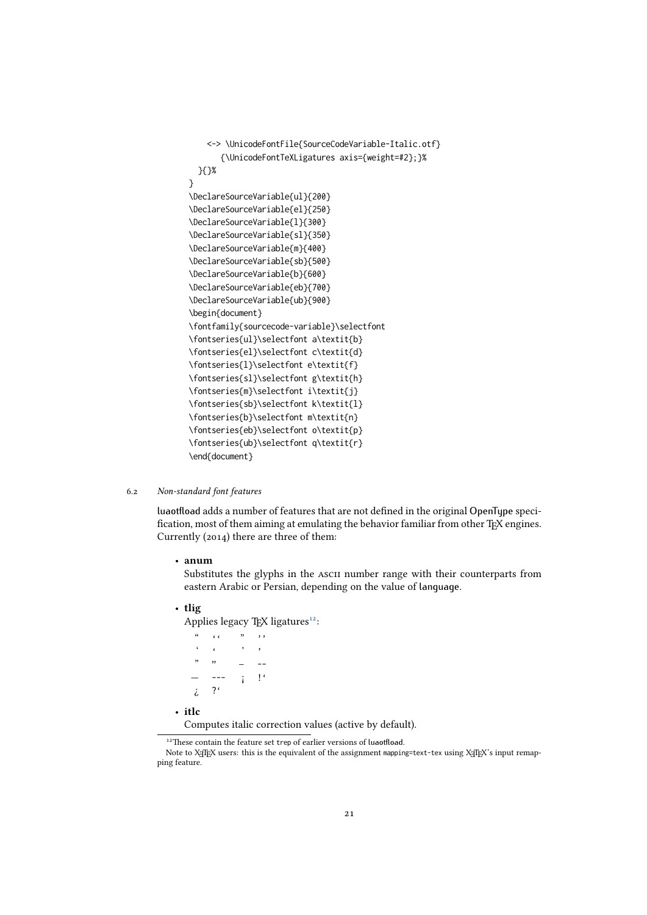```
<-> \UnicodeFontFile{SourceCodeVariable-Italic.otf}
       {\UnicodeFontTeXLigatures axis={weight=#2};}%
 }{}%
}
\DeclareSourceVariable{ul}{200}
\DeclareSourceVariable{el}{250}
\DeclareSourceVariable{l}{300}
\DeclareSourceVariable{sl}{350}
\DeclareSourceVariable{m}{400}
\DeclareSourceVariable{sb}{500}
\DeclareSourceVariable{b}{600}
\DeclareSourceVariable{eb}{700}
\DeclareSourceVariable{ub}{900}
\begin{document}
\fontfamily{sourcecode-variable}\selectfont
\fontseries{ul}\selectfont a\textit{b}
\fontseries{el}\selectfont c\textit{d}
\fontseries{l}\selectfont e\textit{f}
\fontseries{sl}\selectfont g\textit{h}
\fontseries{m}\selectfont i\textit{j}
\fontseries{sb}\selectfont k\textit{l}
\fontseries{b}\selectfont m\textit{n}
\fontseries{eb}\selectfont o\textit{p}
\fontseries{ub}\selectfont q\textit{r}
\end{document}
```
#### 6.2 Non-standard font features

<span id="page-20-0"></span>luaotfload adds a number of features that are not defined in the original OpenType specification, most of them aiming at emulating the behavior familiar from other TFX engines. Currently (2014) there are three of them:

• anum

Substitutes the glyphs in the ascii number range with their counterparts from eastern Arabic or Persian, depending on the value of language.

• tlig

Applies legacy TEX ligatures<sup>[12](#page-20-2)</sup>:

```
" ' \t i' ' " ' \t j'\cdot ' \cdot ' \cdot '
     " " – --
         --- i = 1<sup>c</sup>
     ¿ ?'
• itlc
```
Computes italic correction values (active by default).

<span id="page-20-2"></span><sup>&</sup>lt;sup>12</sup>These contain the feature set trep of earlier versions of luaotfload.

<span id="page-20-1"></span>Note to XETEX users: this is the equivalent of the assignment mapping=text-tex using XETEX's input remapping feature.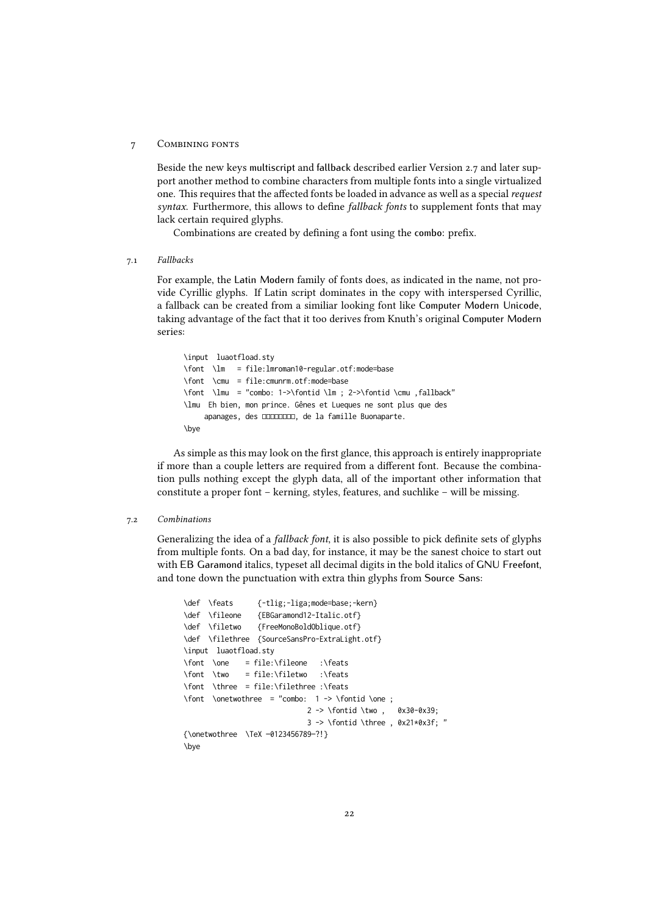#### 7 Combining fonts

Beside the new keys multiscript and fallback described earlier Version 2.7 and later support another method to combine characters from multiple fonts into a single virtualized one. This requires that the affected fonts be loaded in advance as well as a special request syntax. Furthermore, this allows to define fallback fonts to supplement fonts that may lack certain required glyphs.

<span id="page-21-0"></span>Combinations are created by defining a font using the combo: prefix.

7.1 Fallbacks

For example, the Latin Modern family of fonts does, as indicated in the name, not provide Cyrillic glyphs. If Latin script dominates in the copy with interspersed Cyrillic, a fallback can be created from a similiar looking font like Computer Modern Unicode, taking advantage of the fact that it too derives from Knuth's original Computer Modern series:

\input luaotfload.sty \font \lm = file:lmroman10-regular.otf:mode=base \font \cmu = file:cmunrm.otf:mode=base \font \lmu = "combo: 1->\fontid \lm ; 2->\fontid \cmu ,fallback" \lmu Eh bien, mon prince. Gênes et Lueques ne sont plus que des apanages, des **monopole**, de la famille Buonaparte. \bye

As simple as this may look on the first glance, this approach is entirely inappropriate if more than a couple letters are required from a different font. Because the combination pulls nothing except the glyph data, all of the important other information that constitute a proper font – kerning, styles, features, and suchlike – will be missing.

#### <span id="page-21-1"></span>7.2 Combinations

Generalizing the idea of a fallback font, it is also possible to pick definite sets of glyphs from multiple fonts. On a bad day, for instance, it may be the sanest choice to start out with EB Garamond italics, typeset all decimal digits in the bold italics of GNU Freefont, and tone down the punctuation with extra thin glyphs from Source Sans:

```
\def \feats {-tlig;-liga;mode=base;-kern}<br>\def \fileone {EBGaramond12-Italic.otf}
                 \def \fileone {EBGaramond12-Italic.otf}
\def \filetwo {FreeMonoBoldOblique.otf}
\def \filethree {SourceSansPro-ExtraLight.otf}
\input luaotfload.sty
\font \one = file:\fileone :\feats
\font \two = file:\filetwo :\feats
\font \three = file:\filethree :\feats
\forall \font \onetwothree = "combo: 1 -> \fontid \one ;
                               2 -> \fontid \two , 0x30-0x39;
                               3 -> \fontid \three , 0x21*0x3f; "
{\onetwothree \TeX —0123456789—?!}
\bye
```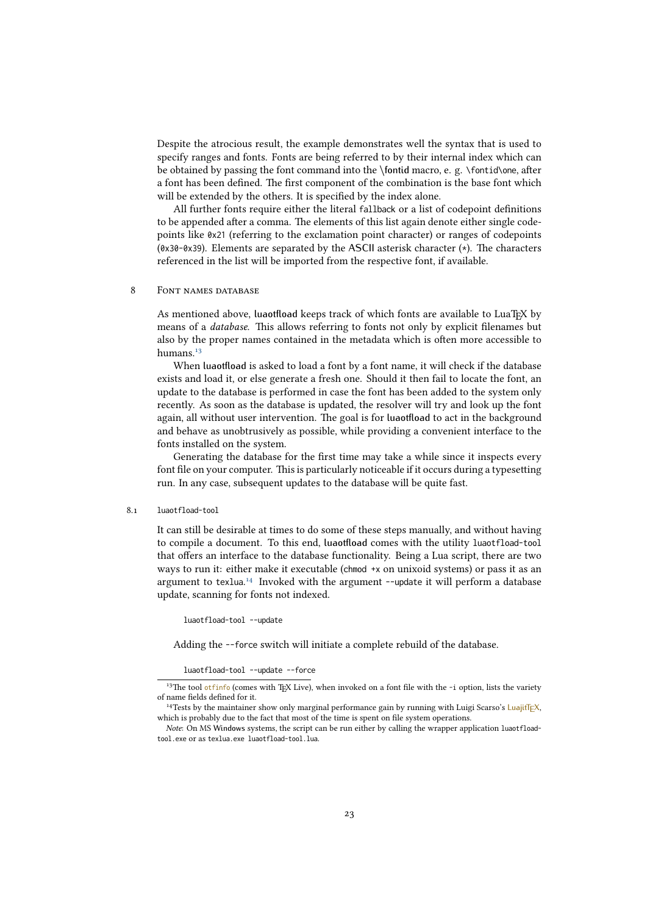Despite the atrocious result, the example demonstrates well the syntax that is used to specify ranges and fonts. Fonts are being referred to by their internal index which can be obtained by passing the font command into the \fontid macro, e. g. \fontid\one, after a font has been defined. The first component of the combination is the base font which will be extended by the others. It is specified by the index alone.

All further fonts require either the literal fallback or a list of codepoint definitions to be appended after a comma. The elements of this list again denote either single codepoints like 0x21 (referring to the exclamation point character) or ranges of codepoints (0x30-0x39). Elements are separated by the ASCII asterisk character (\*). The characters referenced in the list will be imported from the respective font, if available.

#### <span id="page-22-0"></span>8 FONT NAMES DATABASE

As mentioned above, luaotfload keeps track of which fonts are available to LuaTEX by means of a database. This allows referring to fonts not only by explicit filenames but also by the proper names contained in the metadata which is often more accessible to humans.<sup>[13](#page-22-3)</sup>

When luaotfload is asked to load a font by a font name, it will check if the database exists and load it, or else generate a fresh one. Should it then fail to locate the font, an update to the database is performed in case the font has been added to the system only recently. As soon as the database is updated, the resolver will try and look up the font again, all without user intervention. The goal is for luaotfload to act in the background and behave as unobtrusively as possible, while providing a convenient interface to the fonts installed on the system.

Generating the database for the first time may take a while since it inspects every font file on your computer. This is particularly noticeable if it occurs during a typesetting run. In any case, subsequent updates to the database will be quite fast.

#### <span id="page-22-1"></span>8.1 luaotfload-tool

It can still be desirable at times to do some of these steps manually, and without having to compile a document. To this end, luaotfload comes with the utility luaotfload-tool that offers an interface to the database functionality. Being a Lua script, there are two ways to run it: either make it executable (chmod +x on unixoid systems) or pass it as an argument to texlua.<sup>[14](#page-22-4)</sup> Invoked with the argument --update it will perform a database update, scanning for fonts not indexed.

luaotfload-tool --update

Adding the --force switch will initiate a complete rebuild of the database.

#### luaotfload-tool --update --force

<span id="page-22-3"></span><span id="page-22-2"></span><sup>&</sup>lt;sup>13</sup>The tool [otfinfo](http://www.lcdf.org/type/) (comes with TEX Live), when invoked on a font file with the -i option, lists the variety of name fields defined for it.

<span id="page-22-4"></span><sup>&</sup>lt;sup>14</sup>Tests by the maintainer show only marginal performance gain by running with Luigi Scarso's LuajitT<sub>F</sub>X, which is probably due to the fact that most of the time is spent on file system operations.

Note: On MS Windows systems, the script can be run either by calling the wrapper application luaotfloadtool.exe or as texlua.exe luaotfload-tool.lua.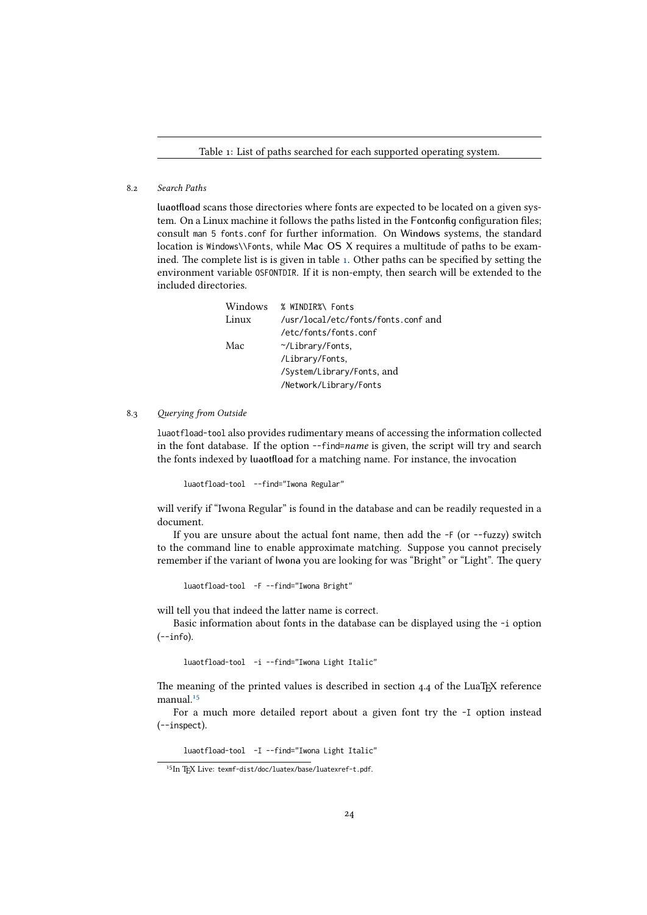Table 1: List of paths searched for each supported operating system.

#### 8.2 Search Paths

luaotfload scans those directories where fonts are expected to be located on a given system. On a Linux machine it follows the paths listed in the Fontconfig configuration files; consult man 5 fonts.conf for further information. On Windows systems, the standard location is Windows\\Fonts, while Mac OS X requires a multitude of paths to be examined. The complete list is is given in table [1.](#page-0-0) Other paths can be specified by setting the environment variable OSFONTDIR. If it is non-empty, then search will be extended to the included directories.

| Windows | % WINDIR%\ Fonts                    |
|---------|-------------------------------------|
| Linux   | /usr/local/etc/fonts/fonts.conf and |
|         | /etc/fonts/fonts.conf               |
| Mac     | $\gamma$ Library/Fonts,             |
|         | /Library/Fonts,                     |
|         | /System/Library/Fonts, and          |
|         | /Network/Library/Fonts              |
|         |                                     |

#### 8.3 Querying from Outside

<span id="page-23-0"></span>luaotfload-tool also provides rudimentary means of accessing the information collected in the font database. If the option --find=name is given, the script will try and search the fonts indexed by luaotfload for a matching name. For instance, the invocation

luaotfload-tool --find="Iwona Regular"

will verify if "Iwona Regular" is found in the database and can be readily requested in a document.

If you are unsure about the actual font name, then add the -F (or --fuzzy) switch to the command line to enable approximate matching. Suppose you cannot precisely remember if the variant of Iwona you are looking for was "Bright" or "Light". The query

luaotfload-tool -F --find="Iwona Bright"

will tell you that indeed the latter name is correct.

Basic information about fonts in the database can be displayed using the -i option  $(-i$ nfo).

luaotfload-tool -i --find="Iwona Light Italic"

The meaning of the printed values is described in section  $4.4$  of the LuaTEX reference manual.<sup>[15](#page-23-1)</sup>

For a much more detailed report about a given font try the -I option instead (--inspect).

luaotfload-tool -I --find="Iwona Light Italic"

<span id="page-23-1"></span><sup>&</sup>lt;sup>15</sup>In TFX Live: texmf-dist/doc/luatex/base/luatexref-t.pdf.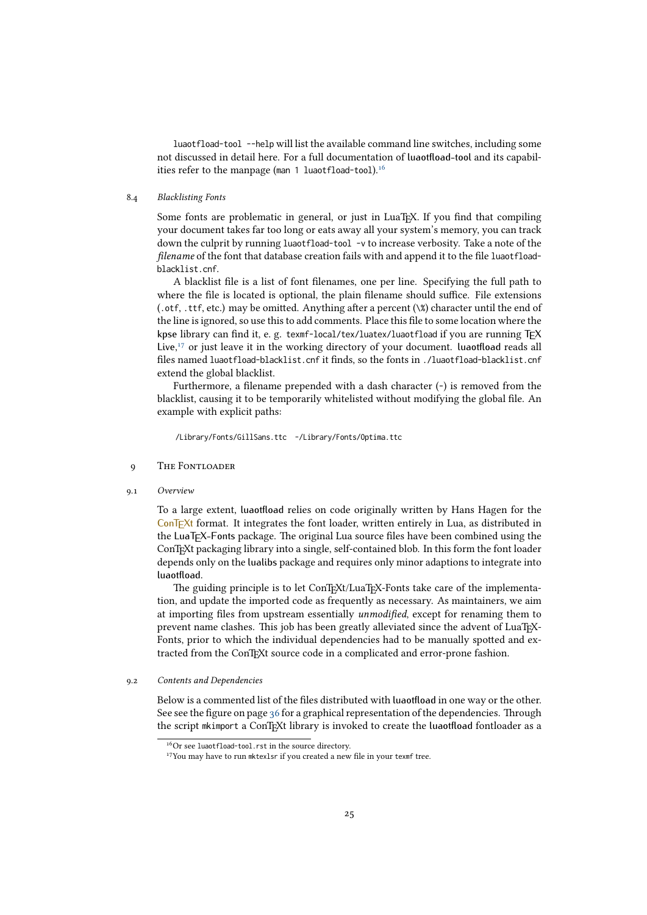luaotfload-tool --help will list the available command line switches, including some not discussed in detail here. For a full documentation of luaotfload-tool and its capabil-ities refer to the manpage (man 1 luaotfload-tool).<sup>[16](#page-24-4)</sup>

#### <span id="page-24-0"></span>8.4 Blacklisting Fonts

Some fonts are problematic in general, or just in LuaT<sub>EX</sub>. If you find that compiling your document takes far too long or eats away all your system's memory, you can track down the culprit by running luaotfload-tool -v to increase verbosity. Take a note of the filename of the font that database creation fails with and append it to the file luaotfloadblacklist.cnf.

A blacklist file is a list of font filenames, one per line. Specifying the full path to where the file is located is optional, the plain filename should suffice. File extensions (.otf, .ttf, etc.) may be omitted. Anything after a percent (\%) character until the end of the line is ignored, so use this to add comments. Place this file to some location where the kpse library can find it, e. g. texmf-local/tex/luatex/luaotfload if you are running TFX Live, [17](#page-24-5) or just leave it in the working directory of your document. luaotfload reads all files named luaotfload-blacklist.cnf it finds, so the fonts in ./luaotfload-blacklist.cnf extend the global blacklist.

Furthermore, a filename prepended with a dash character (-) is removed from the blacklist, causing it to be temporarily whitelisted without modifying the global file. An example with explicit paths:

<span id="page-24-1"></span>/Library/Fonts/GillSans.ttc -/Library/Fonts/Optima.ttc

#### 9 The Fontloader

9.1 Overview

<span id="page-24-2"></span>To a large extent, luaotfload relies on code originally written by Hans Hagen for the  $ConTr(Xt)$  format. It integrates the font loader, written entirely in Lua, as distributed in the LuaTEX-Fonts package. The original Lua source files have been combined using the ConTEXt packaging library into a single, self-contained blob. In this form the font loader depends only on the lualibs package and requires only minor adaptions to integrate into luaotfload.

The guiding principle is to let ConTEXt/LuaTEX-Fonts take care of the implementation, and update the imported code as frequently as necessary. As maintainers, we aim at importing files from upstream essentially unmodified, except for renaming them to prevent name clashes. This job has been greatly alleviated since the advent of LuaTEX-Fonts, prior to which the individual dependencies had to be manually spotted and extracted from the ConTEXt source code in a complicated and error-prone fashion.

#### <span id="page-24-3"></span>9.2 Contents and Dependencies

Below is a commented list of the files distributed with luaotfload in one way or the other. See see the figure on page [36](#page-33-1) for a graphical representation of the dependencies. Through the script mkimport a ConTEXt library is invoked to create the luaotfload fontloader as a

<span id="page-24-4"></span><sup>16</sup>Or see luaotfload-tool.rst in the source directory.

<span id="page-24-5"></span><sup>&</sup>lt;sup>17</sup>You may have to run mktexlsr if you created a new file in your texmf tree.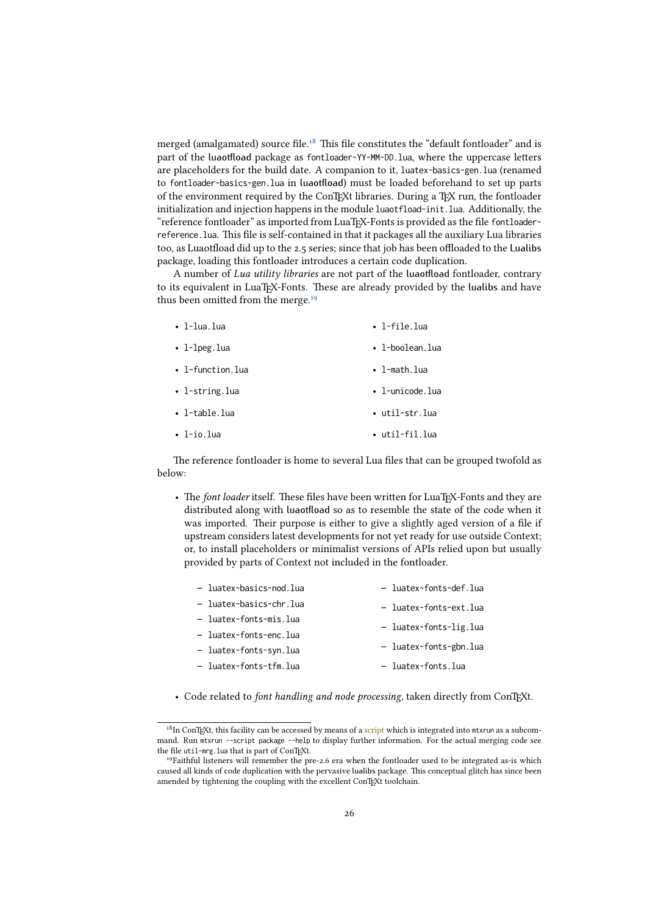merged (amalgamated) source file.<sup>[18](#page-25-0)</sup> This file constitutes the "default fontloader" and is part of the luaotfload package as fontloader-YY-MM-DD.lua, where the uppercase letters are placeholders for the build date. A companion to it, luatex-basics-gen.lua (renamed to fontloader-basics-gen.lua in luaotfload) must be loaded beforehand to set up parts of the environment required by the ConTEXt libraries. During a TEX run, the fontloader initialization and injection happens in the module luaotfload-init.lua. Additionally, the "reference fontloader" as imported from LuaTEX-Fonts is provided as the file fontloaderreference.lua. This file is self-contained in that it packages all the auxiliary Lua libraries too, as Luaotfload did up to the 2.5 series; since that job has been offloaded to the Lualibs package, loading this fontloader introduces a certain code duplication.

A number of Lua utility libraries are not part of the luaotfload fontloader, contrary to its equivalent in LuaTEX-Fonts. These are already provided by the lualibs and have thus been omitted from the merge.<sup>[19](#page-25-1)</sup>

| $\cdot$ 1-lua.lua    | $\cdot$ 1-file.lua      |
|----------------------|-------------------------|
| $\cdot$ 1-lpeg.lua   | $\bullet$ l-boolean.lua |
| • $l$ -function.lua  | $\cdot$ l-math.lua      |
| $\cdot$ l-string.lua | $\bullet$ l-unicode.lua |
| $\cdot$ 1-table.lua  | • util-str.lua          |
| $\cdot$ 1-io.lua     | • util-fil.lua          |

The reference fontloader is home to several Lua files that can be grouped twofold as below:

• The font loader itself. These files have been written for LuaTEX-Fonts and they are distributed along with luaotfload so as to resemble the state of the code when it was imported. Their purpose is either to give a slightly aged version of a file if upstream considers latest developments for not yet ready for use outside Context; or, to install placeholders or minimalist versions of APIs relied upon but usually provided by parts of Context not included in the fontloader.

| - luatex-basics-nod.lua | - luatex-fonts-def.lua |
|-------------------------|------------------------|
| - luatex-basics-chr.lua | - luatex-fonts-ext.lua |
| - luatex-fonts-mis.lua  |                        |
| - luatex-fonts-enc.lua  | - luatex-fonts-lig.lua |
| - luatex-fonts-syn.lua  | - luatex-fonts-gbn.lua |
| - luatex-fonts-tfm.lua  | - luatex-fonts.lua     |
|                         |                        |

• Code related to font handling and node processing, taken directly from ConTFXt.

<span id="page-25-0"></span> $18$ In ConTEXt, this facility can be accessed by means of a [script](https://bitbucket.org/phg/context-mirror/src/beta/scripts/context/lua/mtx-package.lua?at=beta) which is integrated into mtxrun as a subcommand. Run mtxrun --script package --help to display further information. For the actual merging code see the file util-mrg.lua that is part of ConTEXt.

<span id="page-25-1"></span><sup>&</sup>lt;sup>19</sup>Faithful listeners will remember the pre-2.6 era when the fontloader used to be integrated as-is which caused all kinds of code duplication with the pervasive lualibs package. This conceptual glitch has since been amended by tightening the coupling with the excellent ConTEXt toolchain.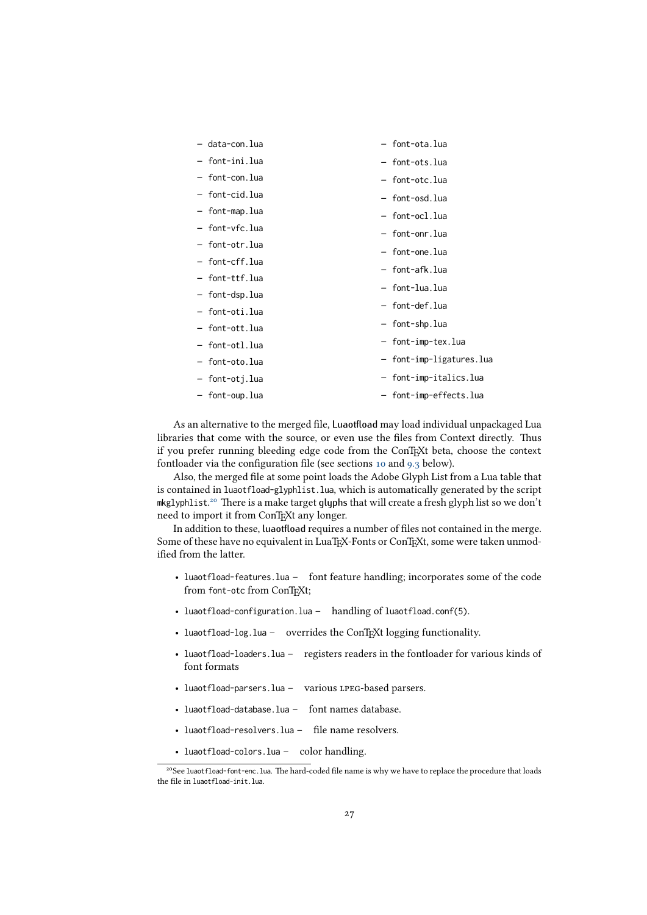| - data-con.lua | - font-ota.lua           |
|----------------|--------------------------|
| - font-ini.lua | - font-ots.lua           |
| - font-con.lua | - font-otc.lua           |
| - font-cid.lua | - font-osd.lua           |
| - font-map.lua | - font-ocl.lua           |
| - font-vfc.lua | - font-onr.lua           |
| - font-otr.lua | - font-one.lua           |
| - font-cff.lua | - font-afk.lua           |
| - font-ttf.lua |                          |
| - font-dsp.lua | - font-lua.lua           |
| - font-oti.lua | - font-def.lua           |
| - font-ott.lua | - font-shp.lua           |
| - font-otl.lua | - font-imp-tex.lua       |
| - font-oto.lua | - font-imp-ligatures.lua |
| - font-otj.lua | - font-imp-italics.lua   |
| - font-oup.lua | - font-imp-effects.lua   |

As an alternative to the merged file, Luaotfload may load individual unpackaged Lua libraries that come with the source, or even use the files from Context directly. Thus if you prefer running bleeding edge code from the ConTEXt beta, choose the context fontloader via the configuration file (see sections [10](#page-27-1) and [9.3](#page-27-0) below).

Also, the merged file at some point loads the Adobe Glyph List from a Lua table that is contained in luaotfload-glyphlist.lua, which is automatically generated by the script mkglyphlist. [20](#page-26-0) There is a make target glyphs that will create a fresh glyph list so we don't need to import it from ConTEXt any longer.

In addition to these, luaotfload requires a number of files not contained in the merge. Some of these have no equivalent in LuaT<sub>E</sub>X-Fonts or ConT<sub>E</sub>Xt, some were taken unmodified from the latter.

- luaotfload-features.lua font feature handling; incorporates some of the code from font-otc from ConTEXt;
- luaotfload-configuration.lua handling of luaotfload.conf(5).
- luaotfload-log.lua overrides the ConTEXt logging functionality.
- luaotfload-loaders.lua registers readers in the fontloader for various kinds of font formats
- luaotfload-parsers.lua various lpeg-based parsers.
- luaotfload-database.lua font names database.
- luaotfload-resolvers.lua file name resolvers.
- luaotfload-colors.lua color handling.

<span id="page-26-0"></span><sup>&</sup>lt;sup>20</sup>See luaotfload-font-enc.lua. The hard-coded file name is why we have to replace the procedure that loads the file in luaotfload-init.lua.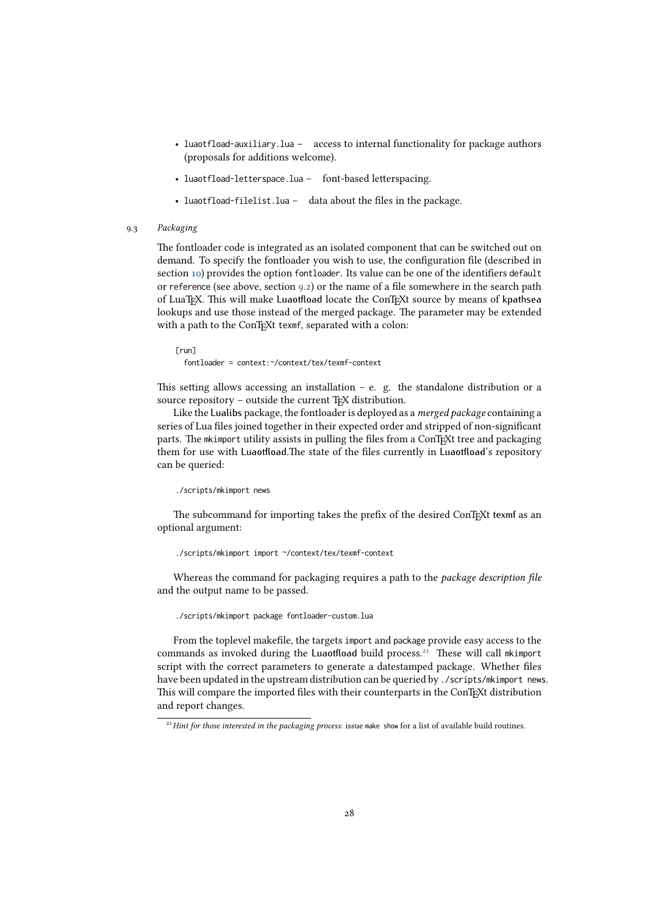- luaotfload-auxiliary.lua access to internal functionality for package authors (proposals for additions welcome).
- luaotfload-letterspace.lua font-based letterspacing.
- luaotfload-filelist.lua data about the files in the package.
- 9.3 Packaging

<span id="page-27-0"></span>The fontloader code is integrated as an isolated component that can be switched out on demand. To specify the fontloader you wish to use, the configuration file (described in section [10\)](#page-27-1) provides the option fontloader. Its value can be one of the identifiers default or reference (see above, section [9.2\)](#page-24-3) or the name of a file somewhere in the search path of LuaTEX. This will make Luaotfload locate the ConTEXt source by means of kpathsea lookups and use those instead of the merged package. The parameter may be extended with a path to the ConTEXt texmf, separated with a colon:

[run] fontloader = context:~/context/tex/texmf-context

This setting allows accessing an installation  $-$  e. g. the standalone distribution or a source repository - outside the current T<sub>E</sub>X distribution.

Like the Lualibs package, the fontloader is deployed as a merged package containing a series of Lua files joined together in their expected order and stripped of non-significant parts. The mkimport utility assists in pulling the files from a ConTEXt tree and packaging them for use with Luaotfload.The state of the files currently in Luaotfload's repository can be queried:

#### ./scripts/mkimport news

The subcommand for importing takes the prefix of the desired ConTEXt texmf as an optional argument:

./scripts/mkimport import ~/context/tex/texmf-context

Whereas the command for packaging requires a path to the package description file and the output name to be passed.

./scripts/mkimport package fontloader-custom.lua

From the toplevel makefile, the targets import and package provide easy access to the commands as invoked during the Luaotfload build process.<sup>[21](#page-27-2)</sup> These will call mkimport script with the correct parameters to generate a datestamped package. Whether files have been updated in the upstream distribution can be queried by ./scripts/mkimport news. This will compare the imported files with their counterparts in the ConTEXt distribution and report changes.

<span id="page-27-2"></span><span id="page-27-1"></span><sup>&</sup>lt;sup>21</sup> Hint for those interested in the packaging process: issue make show for a list of available build routines.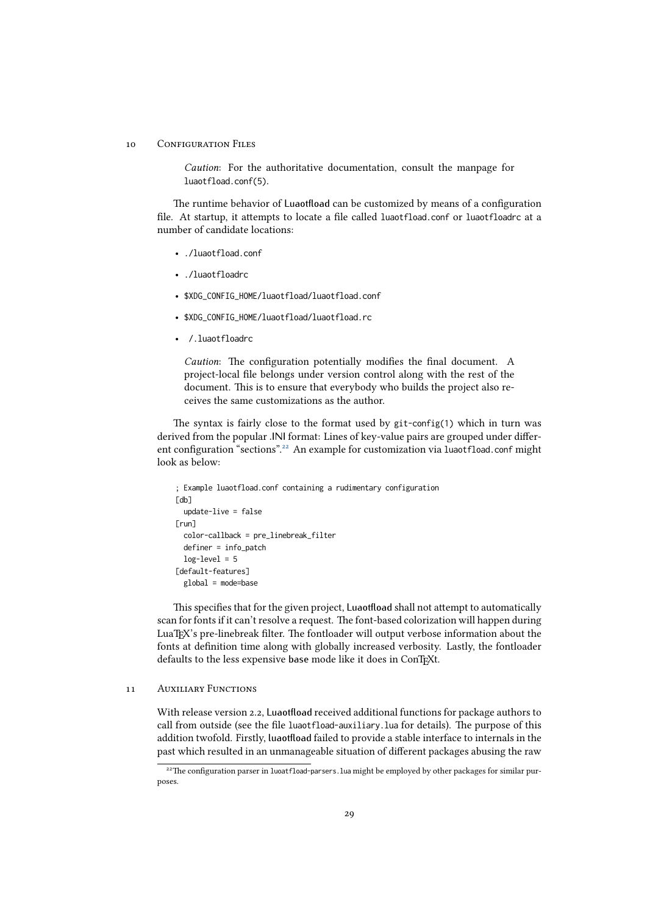#### 10 CONFIGURATION FILES

Caution: For the authoritative documentation, consult the manpage for luaotfload.conf(5).

The runtime behavior of Luaotfload can be customized by means of a configuration file. At startup, it attempts to locate a file called luaotfload.conf or luaotfloadrc at a number of candidate locations:

- ./luaotfload.conf
- ./luaotfloadrc
- \$XDG\_CONFIG\_HOME/luaotfload/luaotfload.conf
- \$XDG\_CONFIG\_HOME/luaotfload/luaotfload.rc
- /.luaotfloadrc

Caution: The configuration potentially modifies the final document. A project-local file belongs under version control along with the rest of the document. This is to ensure that everybody who builds the project also receives the same customizations as the author.

The syntax is fairly close to the format used by git-config(1) which in turn was derived from the popular .INI format: Lines of key-value pairs are grouped under different configuration "sections".[22](#page-28-1) An example for customization via luaotfload.conf might look as below:

```
; Example luaotfload.conf containing a rudimentary configuration
\lceildb\rceilupdate-live = false
[run]
  color-callback = pre_linebreak_filter
  definer = info_patch
  log-level = 5[default-features]
  global = mode=base
```
This specifies that for the given project, Luaotfload shall not attempt to automatically scan for fonts if it can't resolve a request. The font-based colorization will happen during LuaTEX's pre-linebreak filter. The fontloader will output verbose information about the fonts at definition time along with globally increased verbosity. Lastly, the fontloader defaults to the less expensive base mode like it does in ConTEXt.

#### <span id="page-28-0"></span>11 Auxiliary Functions

With release version 2.2, Luaotfload received additional functions for package authors to call from outside (see the file luaotfload-auxiliary.lua for details). The purpose of this addition twofold. Firstly, luaotfload failed to provide a stable interface to internals in the past which resulted in an unmanageable situation of different packages abusing the raw

<span id="page-28-1"></span><sup>&</sup>lt;sup>22</sup>The configuration parser in luoatfload-parsers. lua might be employed by other packages for similar purposes.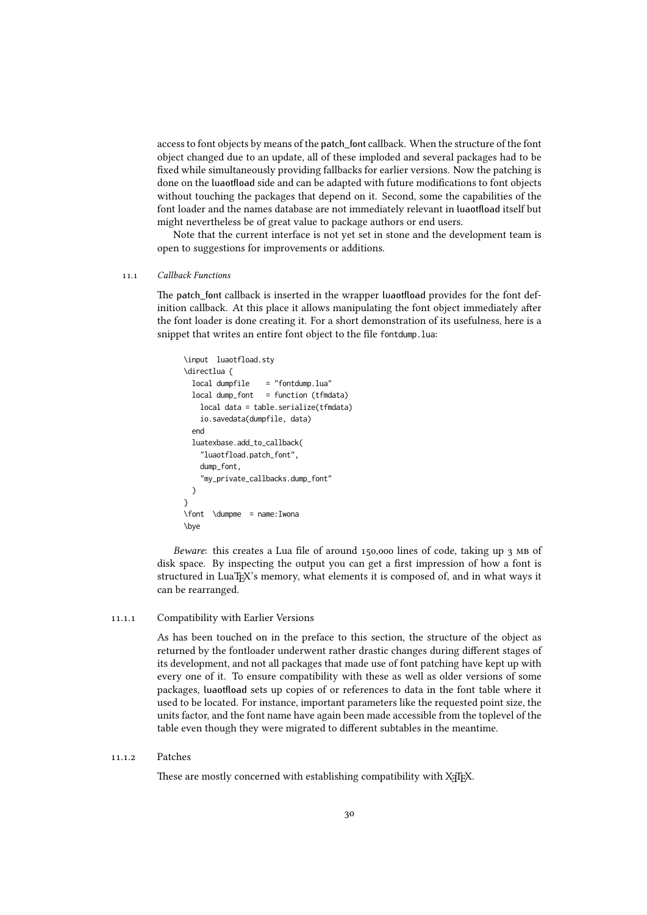access to font objects by means of the patch\_font callback. When the structure of the font object changed due to an update, all of these imploded and several packages had to be fixed while simultaneously providing fallbacks for earlier versions. Now the patching is done on the luaotfload side and can be adapted with future modifications to font objects without touching the packages that depend on it. Second, some the capabilities of the font loader and the names database are not immediately relevant in luaotfload itself but might nevertheless be of great value to package authors or end users.

<span id="page-29-0"></span>Note that the current interface is not yet set in stone and the development team is open to suggestions for improvements or additions.

#### 11.1 Callback Functions

The patch\_font callback is inserted in the wrapper luaotfload provides for the font definition callback. At this place it allows manipulating the font object immediately after the font loader is done creating it. For a short demonstration of its usefulness, here is a snippet that writes an entire font object to the file fontdump.lua:

```
\input luaotfload.sty
\directlua {
 local dumpfile = "fontdump.lua"
 local dump_font = function (tfmdata)
   local data = table.serialize(tfmdata)
   io.savedata(dumpfile, data)
 end
 luatexbase.add_to_callback(
   "luaotfload.patch_font",
   dump_font,
   "my_private_callbacks.dump_font"
 )
}
\font \dumpme = name:Iwona
\bye
```
Beware: this creates a Lua file of around 150,000 lines of code, taking up 3 MB of disk space. By inspecting the output you can get a first impression of how a font is structured in LuaTEX's memory, what elements it is composed of, and in what ways it can be rearranged.

#### 11.1.1 Compatibility with Earlier Versions

<span id="page-29-1"></span>As has been touched on in the preface to this section, the structure of the object as returned by the fontloader underwent rather drastic changes during different stages of its development, and not all packages that made use of font patching have kept up with every one of it. To ensure compatibility with these as well as older versions of some packages, luaotfload sets up copies of or references to data in the font table where it used to be located. For instance, important parameters like the requested point size, the units factor, and the font name have again been made accessible from the toplevel of the table even though they were migrated to different subtables in the meantime.

#### 11.1.2 Patches

<span id="page-29-2"></span>These are mostly concerned with establishing compatibility with XATEX.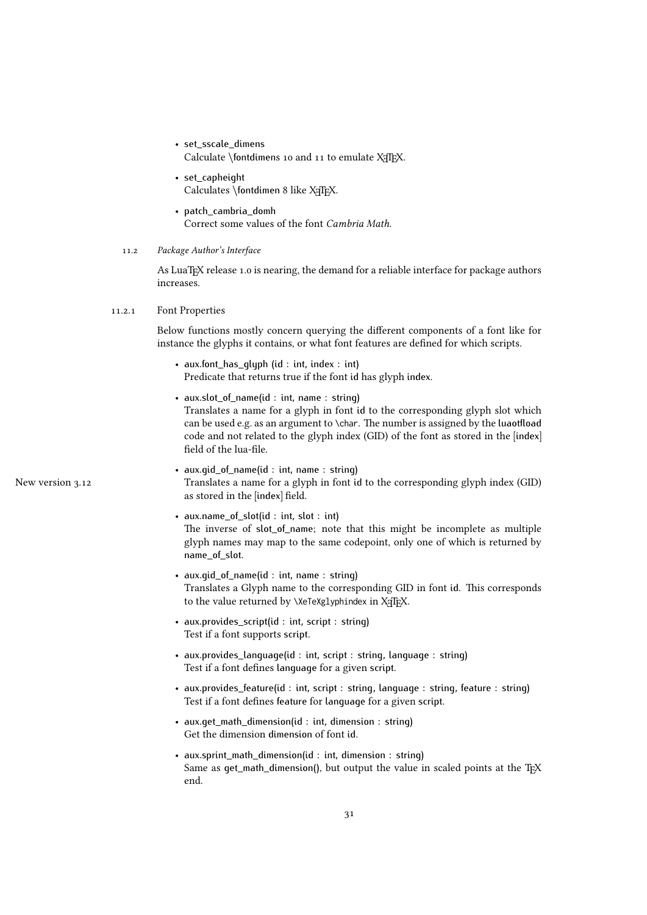• set\_sscale\_dimens

Calculate  $\theta$  ontdimens 10 and 11 to emulate X<sub>I</sub>T<sub>E</sub>X.

- set capheight Calculates \fontdimen 8 like XqTEX.
- patch\_cambria\_domh Correct some values of the font Cambria Math.
- 11.2 Package Author's Interface

<span id="page-30-1"></span><span id="page-30-0"></span>As LuaTEX release 1.0 is nearing, the demand for a reliable interface for package authors increases.

#### 11.2.1 Font Properties

Below functions mostly concern querying the different components of a font like for instance the glyphs it contains, or what font features are defined for which scripts.

- aux.font\_has\_glyph (id : int, index : int) Predicate that returns true if the font id has glyph index.
- aux.slot\_of\_name(id : int, name : string) Translates a name for a glyph in font id to the corresponding glyph slot which can be used e.g. as an argument to \char. The number is assigned by the luaotfload code and not related to the glyph index (GID) of the font as stored in the [index] field of the lua-file.
- <span id="page-30-2"></span>• aux.gid\_of\_name(id : int, name : string) New version 3.12 Translates a name for a glyph in font id to the corresponding glyph index (GID) as stored in the [index] field.
	- aux.name\_of\_slot(id : int, slot : int) The inverse of slot\_of\_name; note that this might be incomplete as multiple glyph names may map to the same codepoint, only one of which is returned by name\_of\_slot.
	- aux.gid\_of\_name(id : int, name : string) Translates a Glyph name to the corresponding GID in font id. This corresponds to the value returned by \XeTeXglyphindex in XqTEX.
	- aux.provides\_script(id : int, script : string) Test if a font supports script.
	- aux.provides\_language(id : int, script : string, language : string) Test if a font defines language for a given script.
	- aux.provides\_feature(id : int, script : string, language : string, feature : string) Test if a font defines feature for language for a given script.
	- aux.get\_math\_dimension(id : int, dimension : string) Get the dimension dimension of font id.
	- aux.sprint\_math\_dimension(id : int, dimension : string) Same as  $qet\_math\_dimension()$ , but output the value in scaled points at the T<sub>EX</sub> end.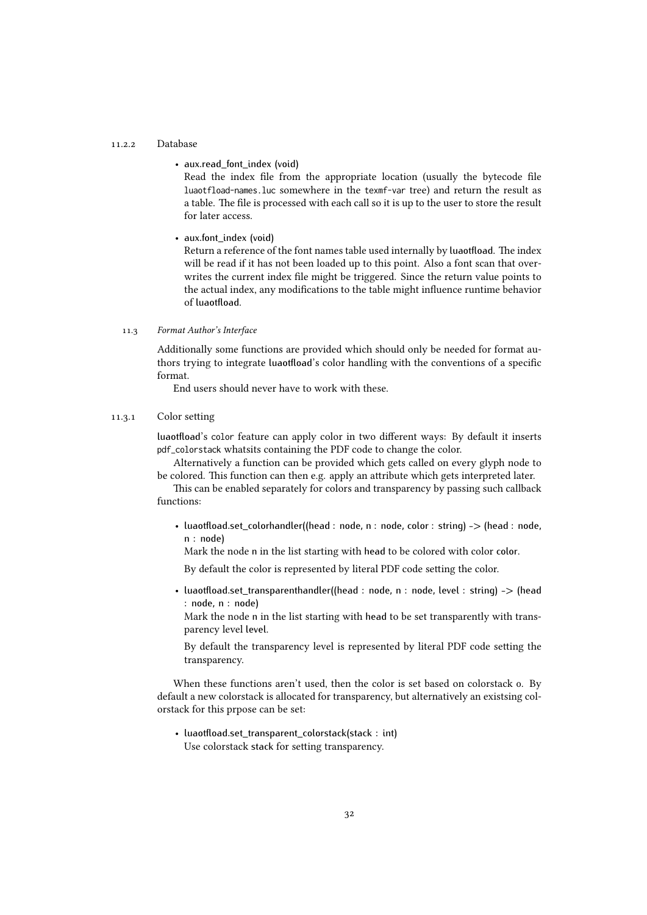#### 11.2.2 Database

• aux.read\_font\_index (void)

Read the index file from the appropriate location (usually the bytecode file luaotfload-names.luc somewhere in the texmf-var tree) and return the result as a table. The file is processed with each call so it is up to the user to store the result for later access.

• aux.font index (void)

Return a reference of the font names table used internally by luaotfload. The index will be read if it has not been loaded up to this point. Also a font scan that overwrites the current index file might be triggered. Since the return value points to the actual index, any modifications to the table might influence runtime behavior of luaotfload.

#### 11.3 Format Author's Interface

<span id="page-31-0"></span>Additionally some functions are provided which should only be needed for format authors trying to integrate luaotfload's color handling with the conventions of a specific format.

<span id="page-31-1"></span>End users should never have to work with these.

#### 11.3.1 Color setting

luaotfload's color feature can apply color in two different ways: By default it inserts pdf\_colorstack whatsits containing the PDF code to change the color.

Alternatively a function can be provided which gets called on every glyph node to be colored. This function can then e.g. apply an attribute which gets interpreted later.

This can be enabled separately for colors and transparency by passing such callback functions:

• luaotfload.set\_colorhandler((head : node, n : node, color : string) -> (head : node, n : node)

Mark the node n in the list starting with head to be colored with color color.

By default the color is represented by literal PDF code setting the color.

• luaotfload.set\_transparenthandler((head : node, n : node, level : string) -> (head : node, n : node)

Mark the node n in the list starting with head to be set transparently with transparency level level.

By default the transparency level is represented by literal PDF code setting the transparency.

When these functions aren't used, then the color is set based on colorstack o. By default a new colorstack is allocated for transparency, but alternatively an existsing colorstack for this prpose can be set:

<span id="page-31-2"></span>• luaotfload.set\_transparent\_colorstack(stack : int) Use colorstack stack for setting transparency.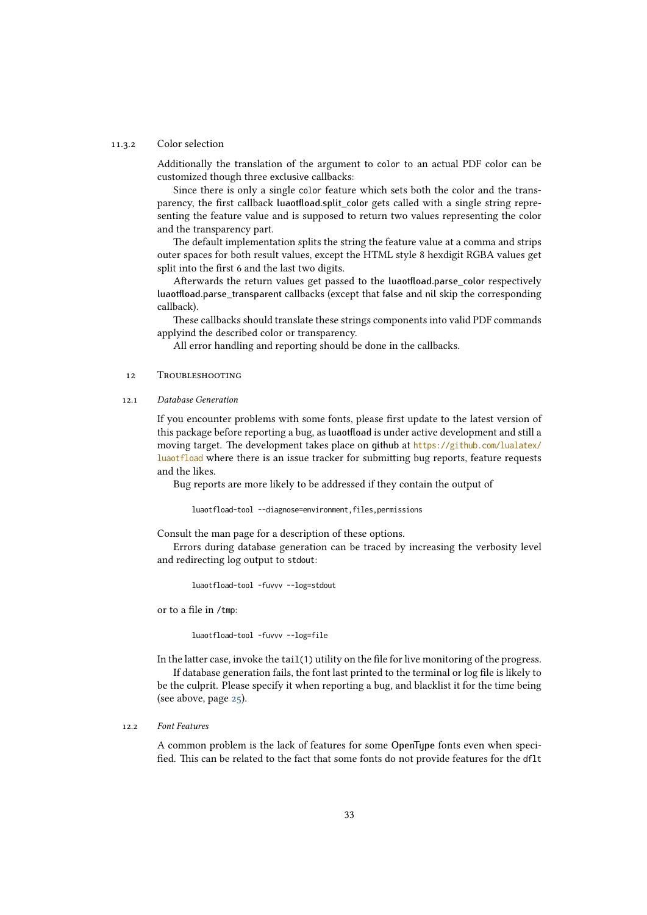#### 11.3.2 Color selection

Additionally the translation of the argument to color to an actual PDF color can be customized though three exclusive callbacks:

Since there is only a single color feature which sets both the color and the transparency, the first callback luaotfload.split\_color gets called with a single string representing the feature value and is supposed to return two values representing the color and the transparency part.

The default implementation splits the string the feature value at a comma and strips outer spaces for both result values, except the HTML style 8 hexdigit RGBA values get split into the first 6 and the last two digits.

Afterwards the return values get passed to the luaotfload.parse\_color respectively luaotfload.parse\_transparent callbacks (except that false and nil skip the corresponding callback).

These callbacks should translate these strings components into valid PDF commands applyind the described color or transparency.

<span id="page-32-0"></span>All error handling and reporting should be done in the callbacks.

#### 12 Troubleshooting

12.1 Database Generation

<span id="page-32-1"></span>If you encounter problems with some fonts, please first update to the latest version of this package before reporting a bug, as luaotfload is under active development and still a moving target. The development takes place on github at [https://github.com/lualatex/](https://github.com/lualatex/luaotfload) [luaotfload](https://github.com/lualatex/luaotfload) where there is an issue tracker for submitting bug reports, feature requests and the likes.

Bug reports are more likely to be addressed if they contain the output of

luaotfload-tool --diagnose=environment,files,permissions

Consult the man page for a description of these options.

Errors during database generation can be traced by increasing the verbosity level and redirecting log output to stdout:

luaotfload-tool -fuvvv --log=stdout

or to a file in /tmp:

luaotfload-tool -fuvvv --log=file

In the latter case, invoke the tail(1) utility on the file for live monitoring of the progress.

If database generation fails, the font last printed to the terminal or log file is likely to be the culprit. Please specify it when reporting a bug, and blacklist it for the time being (see above, page [25\)](#page-24-0).

#### 12.2 Font Features

<span id="page-32-2"></span>A common problem is the lack of features for some OpenType fonts even when specified. This can be related to the fact that some fonts do not provide features for the dflt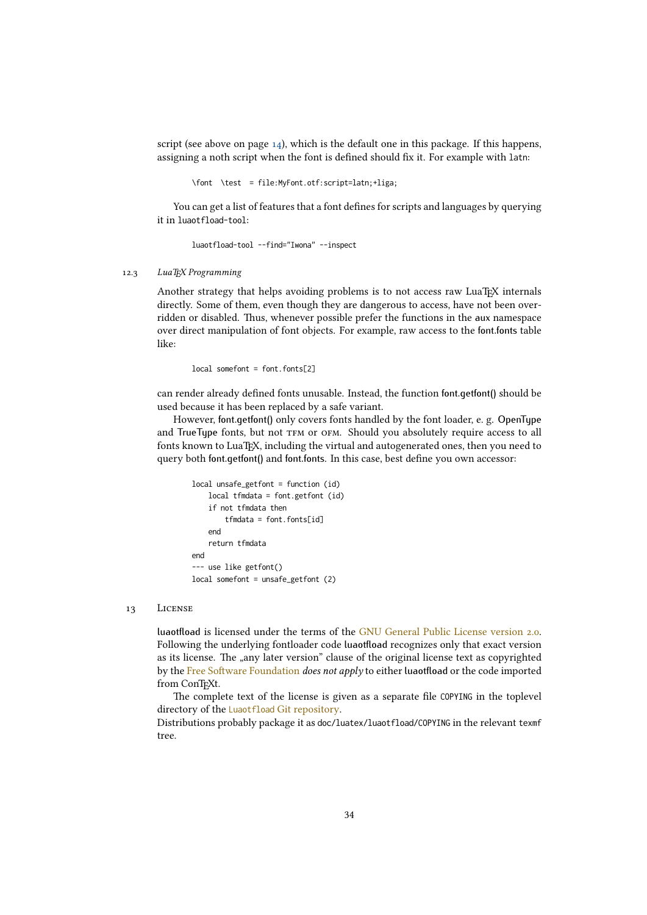script (see above on page [14\)](#page-13-3), which is the default one in this package. If this happens, assigning a noth script when the font is defined should fix it. For example with latn:

\font \test = file:MyFont.otf:script=latn;+liga;

You can get a list of features that a font defines for scripts and languages by querying it in luaotfload-tool:

luaotfload-tool --find="Iwona" --inspect

#### 12.3 LuaT<sub>E</sub>X Programming

<span id="page-33-0"></span>Another strategy that helps avoiding problems is to not access raw LuaTFX internals directly. Some of them, even though they are dangerous to access, have not been overridden or disabled. Thus, whenever possible prefer the functions in the aux namespace over direct manipulation of font objects. For example, raw access to the font.fonts table like:

local somefont = font.fonts[2]

can render already defined fonts unusable. Instead, the function font.getfont() should be used because it has been replaced by a safe variant.

However, font.getfont() only covers fonts handled by the font loader, e. g. OpenType and TrueType fonts, but not TFM or OFM. Should you absolutely require access to all fonts known to LuaTEX, including the virtual and autogenerated ones, then you need to query both font.getfont() and font.fonts. In this case, best define you own accessor:

```
local unsafe_getfont = function (id)
   local tfmdata = font.getfont (id)
    if not tfmdata then
       tfmdata = font.fonts[id]
   end
   return tfmdata
end
--- use like getfont()
local somefont = unsafe getfont (2)
```
#### 13 License

<span id="page-33-1"></span>luaotfload is licensed under the terms of the [GNU General Public License version 2.0.](https://www.gnu.org/licenses/old-licenses/gpl-2.0.html) Following the underlying fontloader code luaotfload recognizes only that exact version as its license. The "any later version" clause of the original license text as copyrighted by the [Free Software Foundation](http://www.fsf.org/) does not apply to either luaotfload or the code imported from ConTEXt.

The complete text of the license is given as a separate file COPYING in the toplevel directory of the Luaotfload [Git repository.](https://github.com/latex3/luaotfload/blob/main/COPYING)

Distributions probably package it as doc/luatex/luaotfload/COPYING in the relevant texmf tree.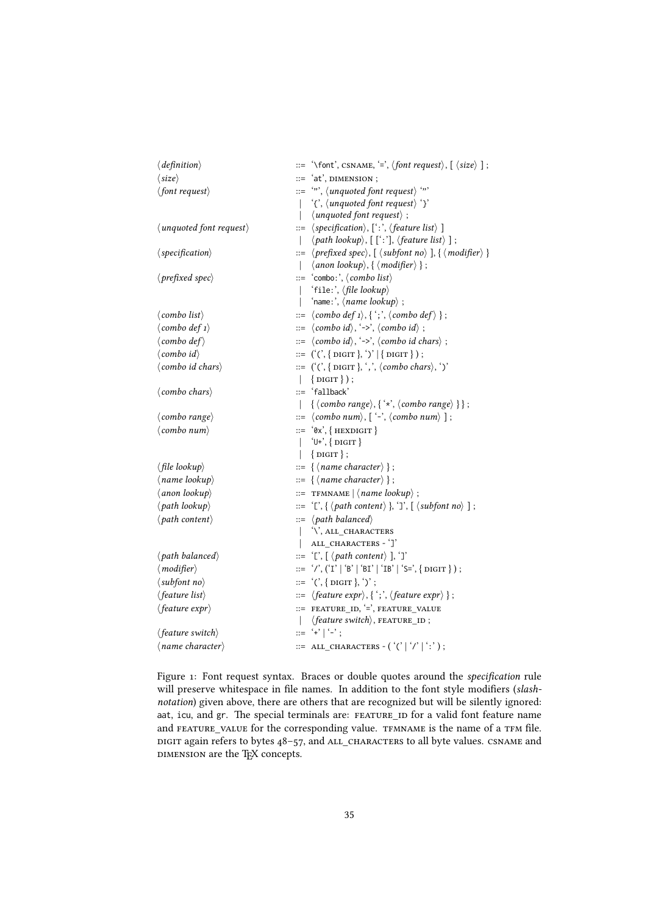| $\langle definition \rangle$              |              | ::= '\font', CSNAME, '=', $\langle$ font request $\rangle$ , $[\langle size \rangle]$ ;                                           |
|-------------------------------------------|--------------|-----------------------------------------------------------------------------------------------------------------------------------|
| $\langle size \rangle$                    |              | ::= 'at', DIMENSION ;                                                                                                             |
| $\langle$ font request $\rangle$          |              |                                                                                                                                   |
|                                           |              | $\langle \cdot \rangle$ , $\langle$ <i>unquoted font request</i> $\rangle \langle \cdot \rangle$                                  |
|                                           | $\mathsf{I}$ | $\langle$ unquoted font request $\rangle$ ;                                                                                       |
| $\langle$ unquoted font request $\rangle$ |              | $ ::= \langle specification \rangle, [``:'. \langle feature list \rangle]$                                                        |
|                                           | $\mathbf{L}$ | $\langle$ <i>path lookup</i> $\rangle$ , [ [':'], $\langle$ <i>feature list</i> $\rangle$ ];                                      |
| $\langle specification \rangle$           |              | ::= $\langle$ <i>prefixed spec</i> $\rangle$ , $[\langle$ <i>subfont no</i> $\rangle$ ], $\{ \langle$ <i>modifier</i> $\rangle$ } |
|                                           | $\mathbf{L}$ | $\langle$ anon lookup $\rangle$ , { $\langle$ modifier $\rangle$ };                                                               |
| $\langle$ <i>prefixed spec</i> $\rangle$  |              | $ ::= 'combo:', \langle combo list \rangle$                                                                                       |
|                                           | $\mathbf{L}$ | 'file:', (file lookup)                                                                                                            |
|                                           | $\mathbf{I}$ | 'name:', $\langle name \; lookup \rangle$ ;                                                                                       |
| $\langle$ combo list $\rangle$            |              | $ ::= \langle \textit{combo def 1} \rangle, \{ \text{'}; \langle \textit{combo def} \rangle \};$                                  |
| $\langle$ combo def 1 $\rangle$           |              | $ ::= \langle \text{comb } \text{od} \rangle, \langle \text{-&} \rangle, \langle \text{comb } \text{od} \rangle;$                 |
| $\langle$ combo def $\rangle$             |              | $ ::= \langle \textit{combo id} \rangle, \textit{`->}, \langle \textit{combo id chars} \rangle;$                                  |
| $\langle$ combo id $\rangle$              |              | $ ::= ((', {\text{Diff}, \cdot)'   { \text{Diff}}, \cdot)$                                                                        |
| $\langle$ combo id chars $\rangle$        |              | $ ::= ((\langle \cdot, {\text{DIST}}, \cdot, \cdot, {\text{~\langle \text{combo chars} \rangle}, \cdot})$                         |
|                                           | $\mathbf{L}$ | $\{$ DIGIT $\})$ ;                                                                                                                |
| $\langle$ combo chars $\rangle$           |              | ::= 'fallback'                                                                                                                    |
|                                           | $\mathbf{L}$ | $\{ \langle \textit{comb} \rangle, \{ \langle x \rangle, \langle \textit{comb} \rangle, \} \};$                                   |
| $\langle$ combo range $\rangle$           |              | $ ::= \langle \text{comb} \text{o} \text{ num} \rangle, [ \cdot \cdot \cdot \langle \text{comb} \text{o} \text{ num} \rangle ]$ ; |
| $\langle$ combo num $\rangle$             |              | $ ::= \{ \forall x', \{ \text{ HEXDIGIT} \}$                                                                                      |
|                                           | $\mathbf{L}$ | $\{U^+\}, \{ DIGIT\}$                                                                                                             |
|                                           |              | $\vert \text{[}$ [DIGIT $\vert$ ;                                                                                                 |
| $\langle$ file lookup $\rangle$           |              | $ ::= \{ \langle name character \rangle \};$                                                                                      |
| $\langle$ name lookup $\rangle$           |              | $ ::= \{ \langle name character \rangle \};$                                                                                      |
| $\langle$ anon lookup $\rangle$           |              | ::= TFMNAME $  \langle name \; lookup \rangle$ ;                                                                                  |
| $\langle path\, lookup\rangle$            |              | ::= '[', $\{\langle path\ content\rangle\}$ , ']', $[\langle subfont\ no\rangle\ ]$ ;                                             |
| $\langle$ <i>path content</i> $\rangle$   |              | $ ::= \langle path\ balanced \rangle$                                                                                             |
|                                           |              | '\', ALL_CHARACTERS                                                                                                               |
|                                           | $\mathbf{I}$ | ALL_CHARACTERS - ']'                                                                                                              |
| $\langle$ <i>path balanced</i> $\rangle$  |              | ::= '[', $[ \langle path\; content \rangle ]$ , ']'                                                                               |
| $\langle$ modifier $\rangle$              |              | ::= '/', ('I'   'B'   'BI'   'IB'   'S=', { DIGIT } ) ;                                                                           |
| $\langle$ subfont no $\rangle$            |              | $ ::= '(', {Diff}, ')'$ ;                                                                                                         |
| $\langle feature\ list\rangle$            |              | $ ::= \langle feature \; expr \rangle, \{ \dot{\ } ; \dot{ } , \langle feature \; expr \rangle \}$ ;                              |
| $\langle feature\ expr\rangle$            |              | ::= FEATURE_ID, '=', FEATURE_VALUE                                                                                                |
|                                           | $\mathbf{I}$ | $\langle feature\ switch\rangle, \ {\tt FEATURE\_ID}$ ;                                                                           |
| $\langle feature \; switch \rangle$       |              | $ ::=$ '+'   '-';                                                                                                                 |
| $\langle$ name character $\rangle$        |              | $ ::=$ ALL_CHARACTERS $- ( ' ( '   ' /   ' : ' ) ;$                                                                               |

<span id="page-34-0"></span>Figure 1: Font request syntax. Braces or double quotes around the specification rule will preserve whitespace in file names. In addition to the font style modifiers (slashnotation) given above, there are others that are recognized but will be silently ignored: aat, icu, and gr. The special terminals are: FEATURE\_ID for a valid font feature name and FEATURE\_VALUE for the corresponding value. TFMNAME is the name of a TFM file. DIGIT again refers to bytes  $48-57$ , and ALL\_CHARACTERS to all byte values. CSNAME and DIMENSION are the TEX concepts.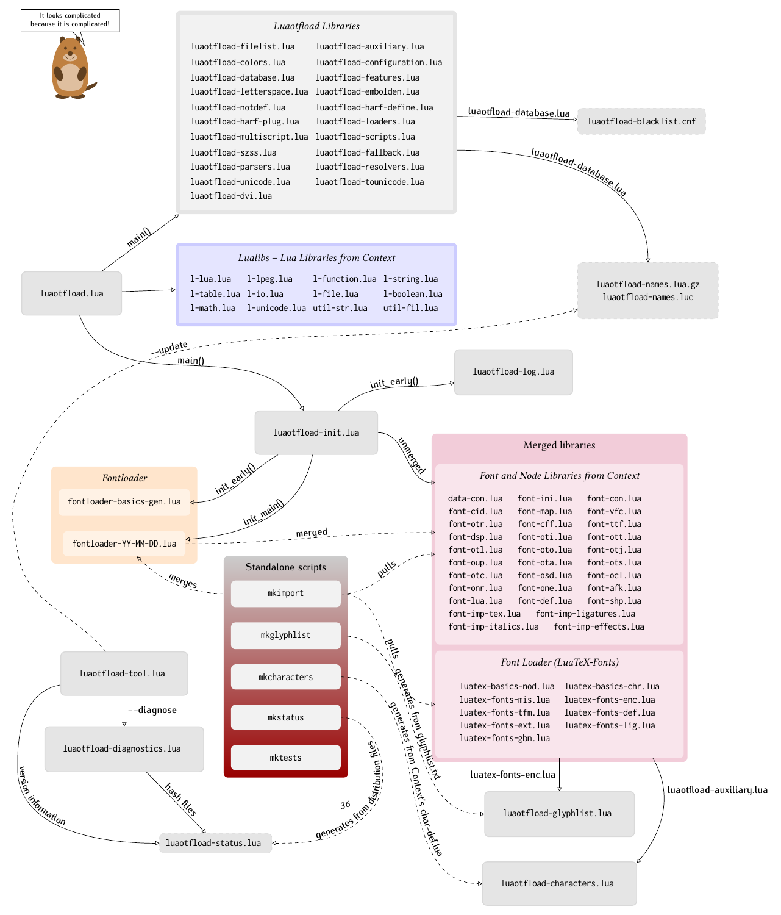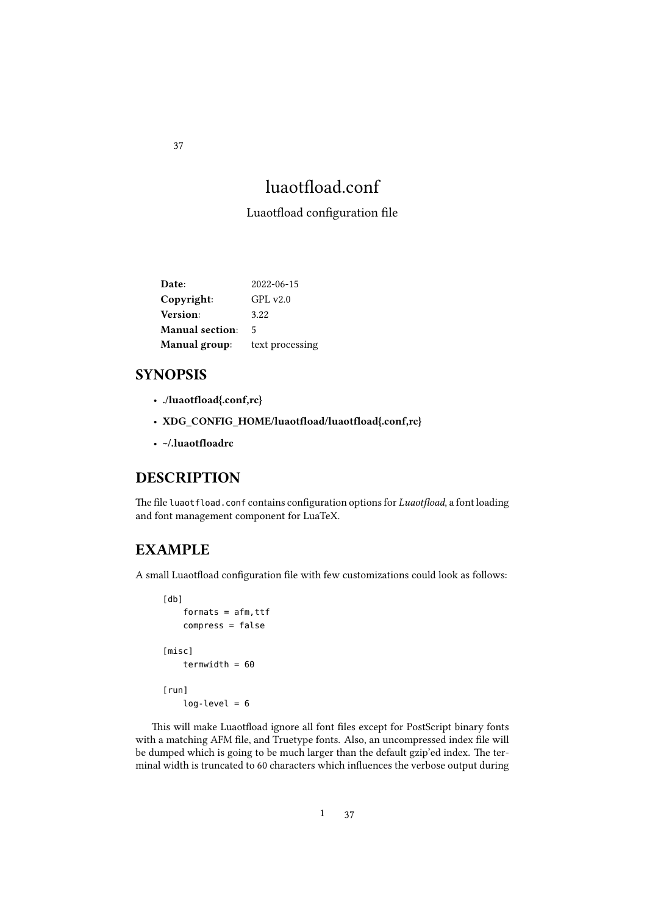# luaotfload.conf

<span id="page-36-0"></span>Luaotfload configuration file

| Date:                  | 2022-06-15      |
|------------------------|-----------------|
| Copyright:             | GPLv2.0         |
| Version:               | 3.22            |
| <b>Manual</b> section: | 5               |
| Manual group:          | text processing |

### SYNOPSIS

- ./luaotfload{.conf,rc}
- XDG\_CONFIG\_HOME/luaotfload/luaotfload{.conf,rc}
- ~/.luaotfloadrc

### DESCRIPTION

The file luaotfload.conf contains configuration options for *Luaotfload*, a font loading and font management component for LuaTeX.

### EXAMPLE

A small Luaotfload configuration file with few customizations could look as follows:

```
[db]
    formats = afm, ttfcompress = false
[misc]
    termwidth = 60[run]
    log-level = 6
```
This will make Luaotfload ignore all font files except for PostScript binary fonts with a matching AFM file, and Truetype fonts. Also, an uncompressed index file will be dumped which is going to be much larger than the default gzip'ed index. The terminal width is truncated to 60 characters which influences the verbose output during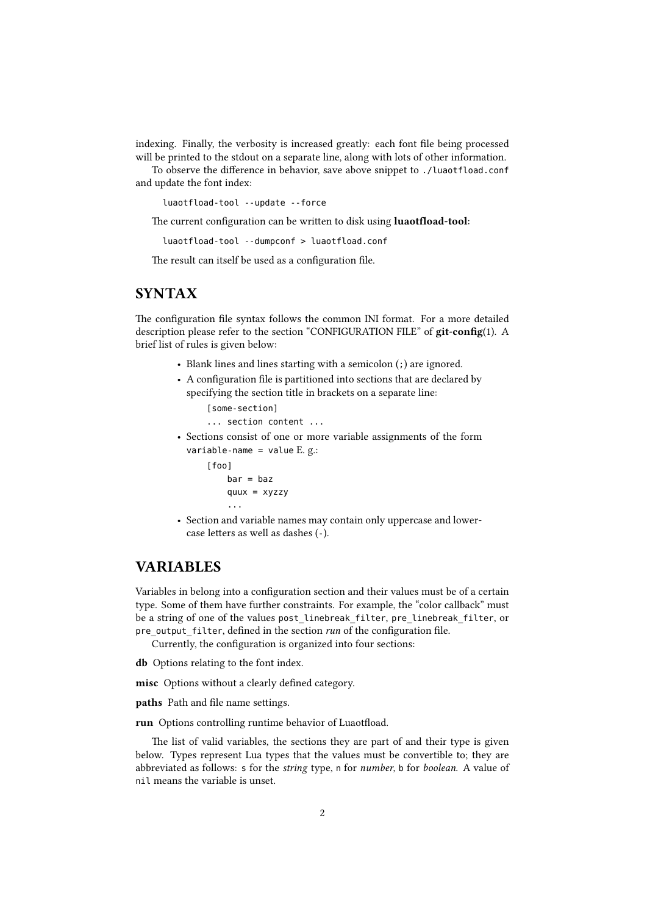indexing. Finally, the verbosity is increased greatly: each font file being processed will be printed to the stdout on a separate line, along with lots of other information.

To observe the difference in behavior, save above snippet to ./luaotfload.conf and update the font index:

luaotfload-tool --update --force

The current configuration can be written to disk using luaotfload-tool:

luaotfload-tool --dumpconf > luaotfload.conf

The result can itself be used as a configuration file.

### **SYNTAX**

The configuration file syntax follows the common INI format. For a more detailed description please refer to the section "CONFIGURATION FILE" of git-config(1). A brief list of rules is given below:

- Blank lines and lines starting with a semicolon (;) are ignored.
- A configuration file is partitioned into sections that are declared by specifying the section title in brackets on a separate line:

```
[some-section]
... section content ...
```
- Sections consist of one or more variable assignments of the form variable-name = value  $E. g.:$ 
	- [foo]  $bar =$ baz quux = xyzzy ...
- Section and variable names may contain only uppercase and lowercase letters as well as dashes (-).

### VARIABLES

Variables in belong into a configuration section and their values must be of a certain type. Some of them have further constraints. For example, the "color callback" must be a string of one of the values post\_linebreak\_filter, pre\_linebreak\_filter, or pre output filter, defined in the section run of the configuration file.

Currently, the configuration is organized into four sections:

db Options relating to the font index.

misc Options without a clearly defined category.

paths Path and file name settings.

run Options controlling runtime behavior of Luaotfload.

The list of valid variables, the sections they are part of and their type is given below. Types represent Lua types that the values must be convertible to; they are abbreviated as follows: s for the string type, n for number, b for boolean. A value of nil means the variable is unset.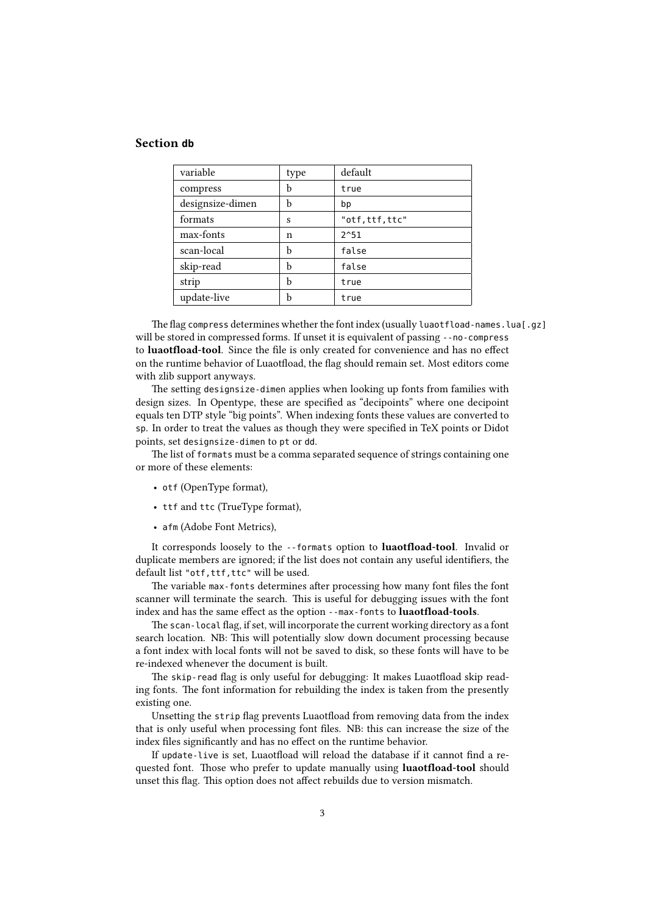#### Section **db**

| variable         | type | default        |
|------------------|------|----------------|
| compress         | b    | true           |
| designsize-dimen | b    | bp             |
| formats          | S    | "otf,ttf,ttc"  |
| max-fonts        | n    | $2^{\wedge}51$ |
| scan-local       | b    | false          |
| skip-read        | b    | false          |
| strip            | b    | true           |
| update-live      | b    | true           |

The flag compress determines whether the font index (usually luaotfload-names.lua[.gz] will be stored in compressed forms. If unset it is equivalent of passing --no-compress to luaotfload-tool. Since the file is only created for convenience and has no effect on the runtime behavior of Luaotfload, the flag should remain set. Most editors come with zlib support anyways.

The setting designsize-dimen applies when looking up fonts from families with design sizes. In Opentype, these are specified as "decipoints" where one decipoint equals ten DTP style "big points". When indexing fonts these values are converted to sp. In order to treat the values as though they were specified in TeX points or Didot points, set designsize-dimen to pt or dd.

The list of formats must be a comma separated sequence of strings containing one or more of these elements:

- otf (OpenType format),
- ttf and ttc (TrueType format),
- afm (Adobe Font Metrics),

It corresponds loosely to the --formats option to luaotfload-tool. Invalid or duplicate members are ignored; if the list does not contain any useful identifiers, the default list "otf,ttf,ttc" will be used.

The variable max-fonts determines after processing how many font files the font scanner will terminate the search. This is useful for debugging issues with the font index and has the same effect as the option --max-fonts to luaotfload-tools.

The scan-local flag, if set, will incorporate the current working directory as a font search location. NB: This will potentially slow down document processing because a font index with local fonts will not be saved to disk, so these fonts will have to be re-indexed whenever the document is built.

The skip-read flag is only useful for debugging: It makes Luaotfload skip reading fonts. The font information for rebuilding the index is taken from the presently existing one.

Unsetting the strip flag prevents Luaotfload from removing data from the index that is only useful when processing font files. NB: this can increase the size of the index files significantly and has no effect on the runtime behavior.

If update-live is set, Luaotfload will reload the database if it cannot find a requested font. Those who prefer to update manually using **luaotfload-tool** should unset this flag. This option does not affect rebuilds due to version mismatch.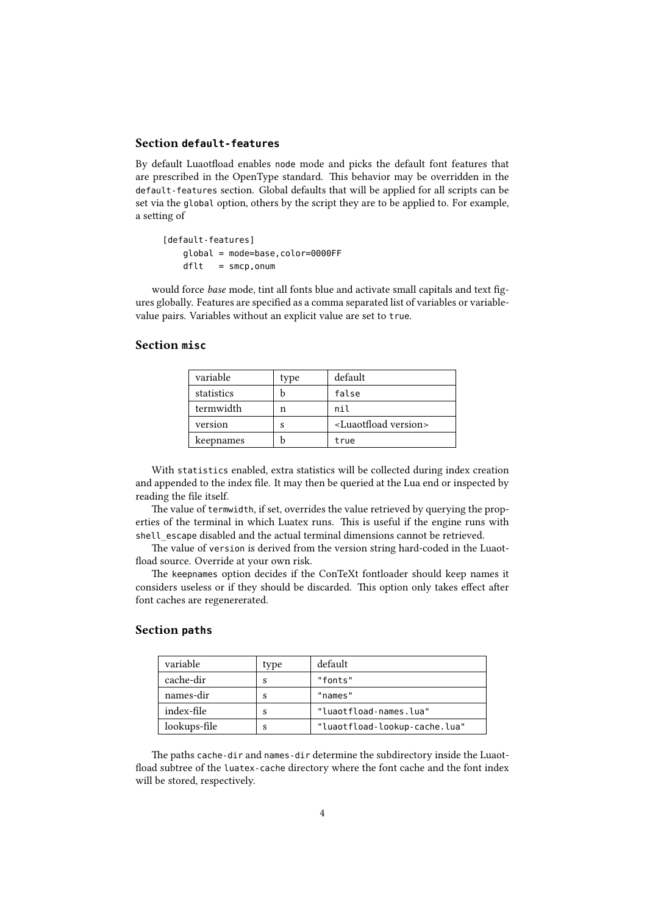#### Section **default-features**

By default Luaotfload enables node mode and picks the default font features that are prescribed in the OpenType standard. This behavior may be overridden in the default-features section. Global defaults that will be applied for all scripts can be set via the global option, others by the script they are to be applied to. For example, a setting of

[default-features] global = mode=base,color=0000FF  $dft = smcp.$ onum

would force base mode, tint all fonts blue and activate small capitals and text figures globally. Features are specified as a comma separated list of variables or variablevalue pairs. Variables without an explicit value are set to true.

### Section **misc**

| variable   | type | default                              |
|------------|------|--------------------------------------|
| statistics |      | false                                |
| termwidth  | n    | nil                                  |
| version    | s    | <luaotfload version=""></luaotfload> |
| keepnames  |      | true                                 |

With statistics enabled, extra statistics will be collected during index creation and appended to the index file. It may then be queried at the Lua end or inspected by reading the file itself.

The value of termwidth, if set, overrides the value retrieved by querying the properties of the terminal in which Luatex runs. This is useful if the engine runs with shell escape disabled and the actual terminal dimensions cannot be retrieved.

The value of version is derived from the version string hard-coded in the Luaotfload source. Override at your own risk.

The keepnames option decides if the ConTeXt fontloader should keep names it considers useless or if they should be discarded. This option only takes effect after font caches are regenererated.

#### Section **paths**

| variable     | type | default                       |
|--------------|------|-------------------------------|
| cache-dir    | s    | "fonts"                       |
| names-dir    | S    | "names"                       |
| index-file   | S    | "luaotfload-names.lua"        |
| lookups-file | S    | "luaotfload-lookup-cache.lua" |

The paths cache-dir and names-dir determine the subdirectory inside the Luaotfload subtree of the luatex-cache directory where the font cache and the font index will be stored, respectively.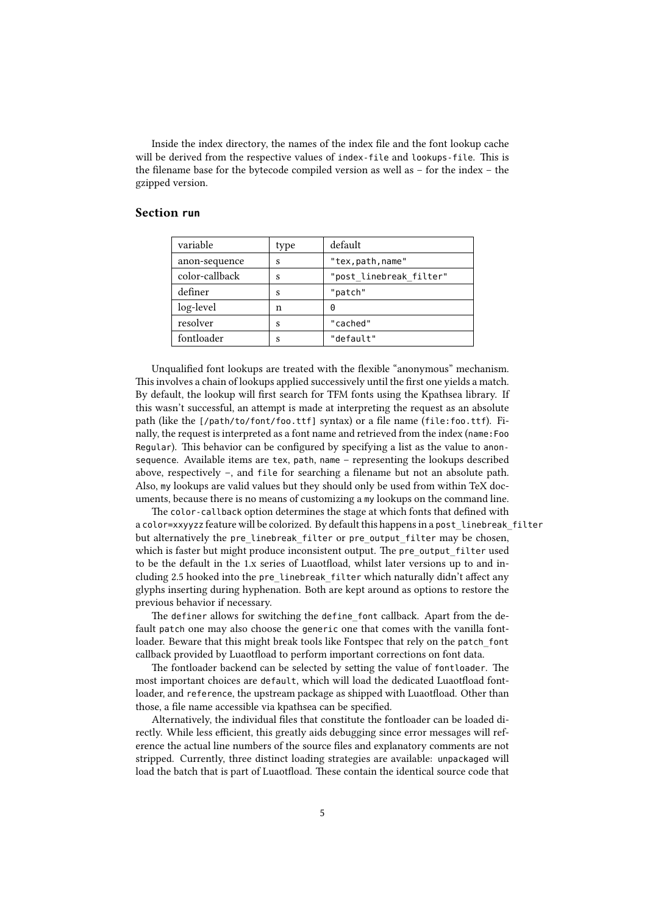Inside the index directory, the names of the index file and the font lookup cache will be derived from the respective values of index-file and lookups-file. This is the filename base for the bytecode compiled version as well as – for the index – the gzipped version.

#### Section **run**

| type | default                 |
|------|-------------------------|
| S    | "tex, path, name"       |
| S    | "post_linebreak_filter" |
| S    | "patch"                 |
| n    | 0                       |
| S    | "cached"                |
| S    | "default"               |
|      |                         |

Unqualified font lookups are treated with the flexible "anonymous" mechanism. This involves a chain of lookups applied successively until the first one yields a match. By default, the lookup will first search for TFM fonts using the Kpathsea library. If this wasn't successful, an attempt is made at interpreting the request as an absolute path (like the [/path/to/font/foo.ttf] syntax) or a file name (file:foo.ttf). Finally, the request is interpreted as a font name and retrieved from the index (name:Foo Regular). This behavior can be configured by specifying a list as the value to anonsequence. Available items are tex, path, name – representing the lookups described above, respectively –, and file for searching a filename but not an absolute path. Also, my lookups are valid values but they should only be used from within TeX documents, because there is no means of customizing a my lookups on the command line.

The color-callback option determines the stage at which fonts that defined with a color=xxyyzz feature will be colorized. By default this happens in a post\_linebreak\_filter but alternatively the pre\_linebreak\_filter or pre\_output\_filter may be chosen, which is faster but might produce inconsistent output. The pre\_output\_filter used to be the default in the 1.x series of Luaotfload, whilst later versions up to and including 2.5 hooked into the pre\_linebreak\_filter which naturally didn't affect any glyphs inserting during hyphenation. Both are kept around as options to restore the previous behavior if necessary.

The definer allows for switching the define font callback. Apart from the default patch one may also choose the generic one that comes with the vanilla fontloader. Beware that this might break tools like Fontspec that rely on the patch\_font callback provided by Luaotfload to perform important corrections on font data.

The fontloader backend can be selected by setting the value of fontloader. The most important choices are default, which will load the dedicated Luaotfload fontloader, and reference, the upstream package as shipped with Luaotfload. Other than those, a file name accessible via kpathsea can be specified.

Alternatively, the individual files that constitute the fontloader can be loaded directly. While less efficient, this greatly aids debugging since error messages will reference the actual line numbers of the source files and explanatory comments are not stripped. Currently, three distinct loading strategies are available: unpackaged will load the batch that is part of Luaotfload. These contain the identical source code that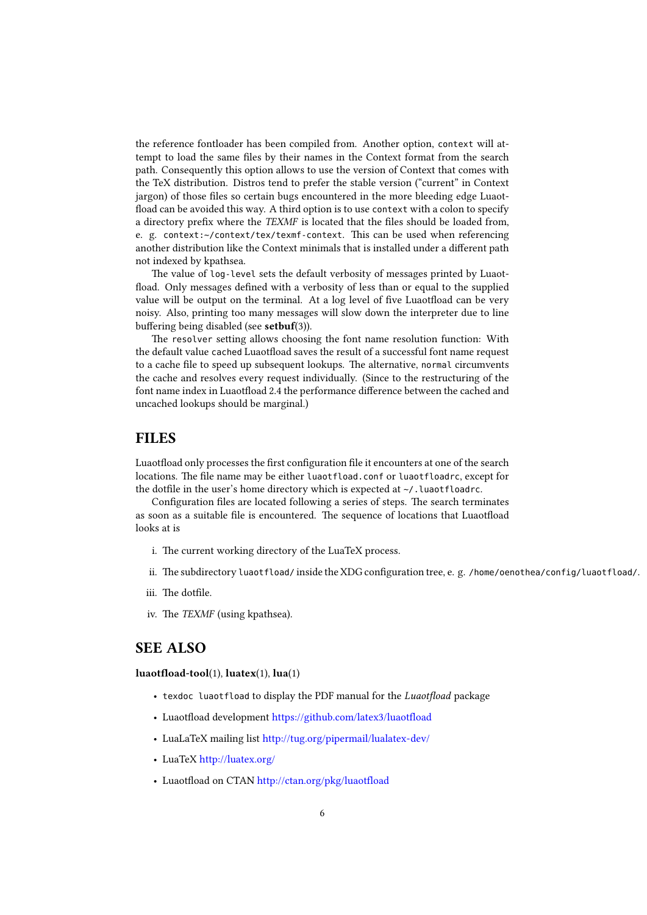the reference fontloader has been compiled from. Another option, context will attempt to load the same files by their names in the Context format from the search path. Consequently this option allows to use the version of Context that comes with the TeX distribution. Distros tend to prefer the stable version ("current" in Context jargon) of those files so certain bugs encountered in the more bleeding edge Luaotfload can be avoided this way. A third option is to use context with a colon to specify a directory prefix where the TEXMF is located that the files should be loaded from, e. g. context:~/context/tex/texmf-context. This can be used when referencing another distribution like the Context minimals that is installed under a different path not indexed by kpathsea.

The value of log-level sets the default verbosity of messages printed by Luaotfload. Only messages defined with a verbosity of less than or equal to the supplied value will be output on the terminal. At a log level of five Luaotfload can be very noisy. Also, printing too many messages will slow down the interpreter due to line buffering being disabled (see setbuf(3)).

The resolver setting allows choosing the font name resolution function: With the default value cached Luaotfload saves the result of a successful font name request to a cache file to speed up subsequent lookups. The alternative, normal circumvents the cache and resolves every request individually. (Since to the restructuring of the font name index in Luaotfload 2.4 the performance difference between the cached and uncached lookups should be marginal.)

### FILES

Luaotfload only processes the first configuration file it encounters at one of the search locations. The file name may be either luaotfload.conf or luaotfloadrc, except for the dotfile in the user's home directory which is expected at ~/. luaotfloadrc.

Configuration files are located following a series of steps. The search terminates as soon as a suitable file is encountered. The sequence of locations that Luaotfload looks at is

- i. The current working directory of the LuaTeX process.
- ii. The subdirectory luaotfload/ inside the XDG configuration tree, e. g. /home/oenothea/config/luaotfload/.
- iii. The dotfile.
- iv. The TEXMF (using kpathsea).

### SEE ALSO

luaotfload-tool(1), luatex(1), lua(1)

- texdoc luaotfload to display the PDF manual for the Luaotfload package
- Luaotfload development https://github.com/latex3/luaotfload
- LuaLaTeX mailing list http://tug.org/pipermail/lualatex-dev/
- LuaTeX http://luatex.org/
- Luaotfload on CTAN http://ctan.org/pkg/luaotfload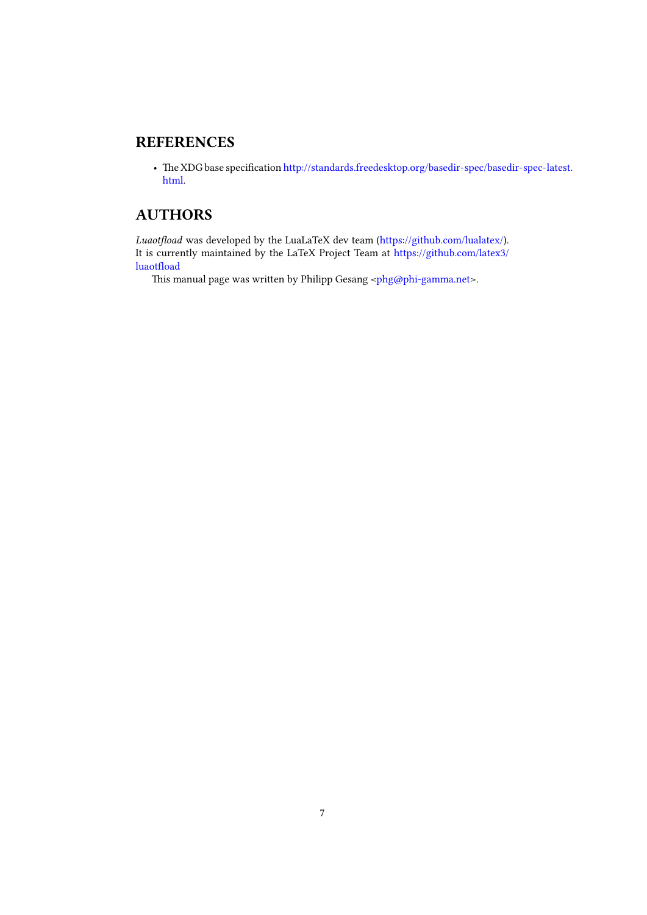### **REFERENCES**

• The XDG base specification http://standards.freedesktop.org/basedir-spec/basedir-spec-latest. html.

## AUTHORS

Luaotfload was developed by the LuaLaTeX dev team (https://github.com/lualatex/). It is currently maintained by the LaTeX Project Team at https://github.com/latex3/ luaotfload

This manual page was written by Philipp Gesang <phg@phi-gamma.net>.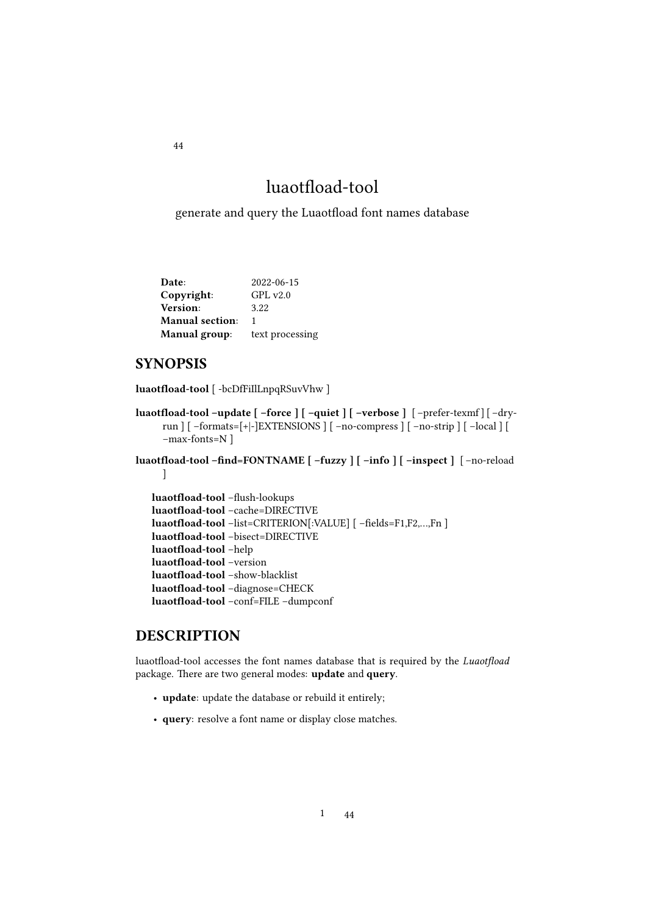# luaotfload-tool

generate and query the Luaotfload font names database

| Date:                  | 2022-06-15      |
|------------------------|-----------------|
| Copyright:             | GPLv2.0         |
| Version:               | 3.22            |
| <b>Manual section:</b> | 1               |
| <b>Manual</b> group:   | text processing |

### SYNOPSIS

luaotfload-tool [ -bcDfFiIlLnpqRSuvVhw ]

```
luaotfload-tool –update [ –force ] [ –quiet ] [ –verbose ] [ –prefer-texmf ] [ –dry-
     run ] [ –formats=[+|-]EXTENSIONS ] [ –no-compress ] [ –no-strip ] [ –local ] [
     –max-fonts=N ]
```
luaotfload-tool –find=FONTNAME [ –fuzzy ] [ –info ] [ –inspect ] [ –no-reload  $\frac{1}{2}$ 

```
luaotfload-tool –flush-lookups
luaotfload-tool –cache=DIRECTIVE
luaotfload-tool –list=CRITERION[:VALUE] [ –fields=F1,F2,…,Fn ]
luaotfload-tool –bisect=DIRECTIVE
luaotfload-tool –help
luaotfload-tool –version
luaotfload-tool –show-blacklist
luaotfload-tool –diagnose=CHECK
luaotfload-tool –conf=FILE –dumpconf
```
### DESCRIPTION

luaotfload-tool accesses the font names database that is required by the Luaotfload package. There are two general modes: update and query.

- update: update the database or rebuild it entirely;
- query: resolve a font name or display close matches.

<span id="page-43-0"></span>44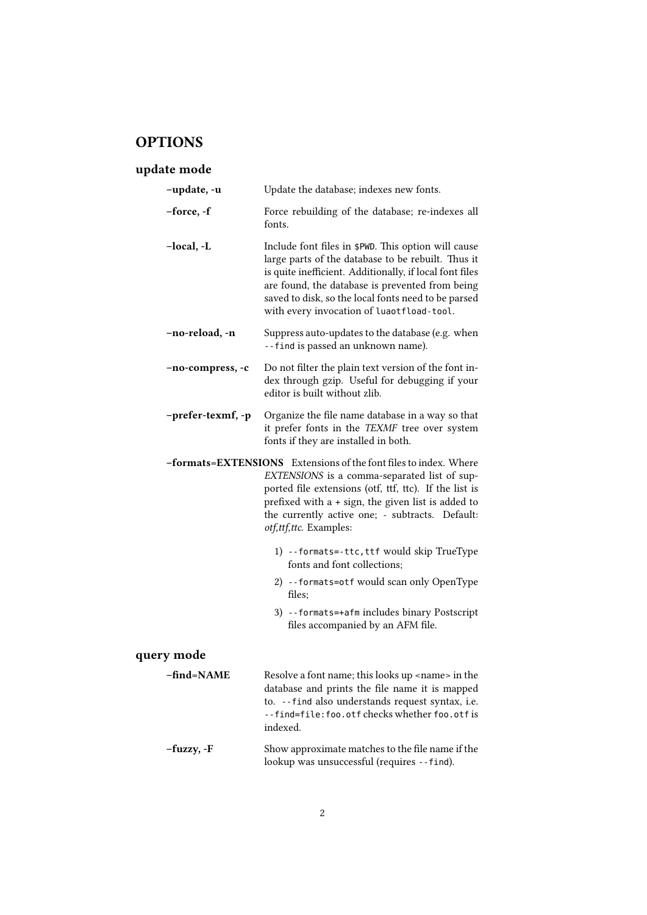# **OPTIONS**

### update mode

| -update, -u       | Update the database; indexes new fonts.                                                                                                                                                                                                                                                                                     |
|-------------------|-----------------------------------------------------------------------------------------------------------------------------------------------------------------------------------------------------------------------------------------------------------------------------------------------------------------------------|
| -force, -f        | Force rebuilding of the database; re-indexes all<br>fonts.                                                                                                                                                                                                                                                                  |
| -local, -L        | Include font files in \$PWD. This option will cause<br>large parts of the database to be rebuilt. Thus it<br>is quite inefficient. Additionally, if local font files<br>are found, the database is prevented from being<br>saved to disk, so the local fonts need to be parsed<br>with every invocation of luaotfload-tool. |
| -no-reload, -n    | Suppress auto-updates to the database (e.g. when<br>--find is passed an unknown name).                                                                                                                                                                                                                                      |
| -no-compress, -c  | Do not filter the plain text version of the font in-<br>dex through gzip. Useful for debugging if your<br>editor is built without zlib.                                                                                                                                                                                     |
| -prefer-texmf, -p | Organize the file name database in a way so that<br>it prefer fonts in the TEXMF tree over system<br>fonts if they are installed in both.                                                                                                                                                                                   |
|                   | -formats=EXTENSIONS Extensions of the font files to index. Where<br>EXTENSIONS is a comma-separated list of sup-<br>ported file extensions (otf, ttf, ttc). If the list is<br>prefixed with a + sign, the given list is added to<br>the currently active one; - subtracts. Default:<br>otf,ttf,ttc. Examples:               |
|                   | 1) --formats=-ttc, ttf would skip TrueType<br>fonts and font collections:                                                                                                                                                                                                                                                   |
|                   | 2) --formats=otf would scan only OpenType<br>files:                                                                                                                                                                                                                                                                         |
|                   | 3) -- formats=+afm includes binary Postscript<br>files accompanied by an AFM file.                                                                                                                                                                                                                                          |
| query mode        |                                                                                                                                                                                                                                                                                                                             |
| -find=NAME        | Resolve a font name; this looks up <name> in the<br/>database and prints the file name it is mapped<br/>to. -- find also understands request syntax, i.e.<br/>--find=file:foo.otfcheckswhetherfoo.otfis<br/>indexed.</name>                                                                                                 |

–fuzzy, -F Show approximate matches to the file name if the lookup was unsuccessful (requires --find).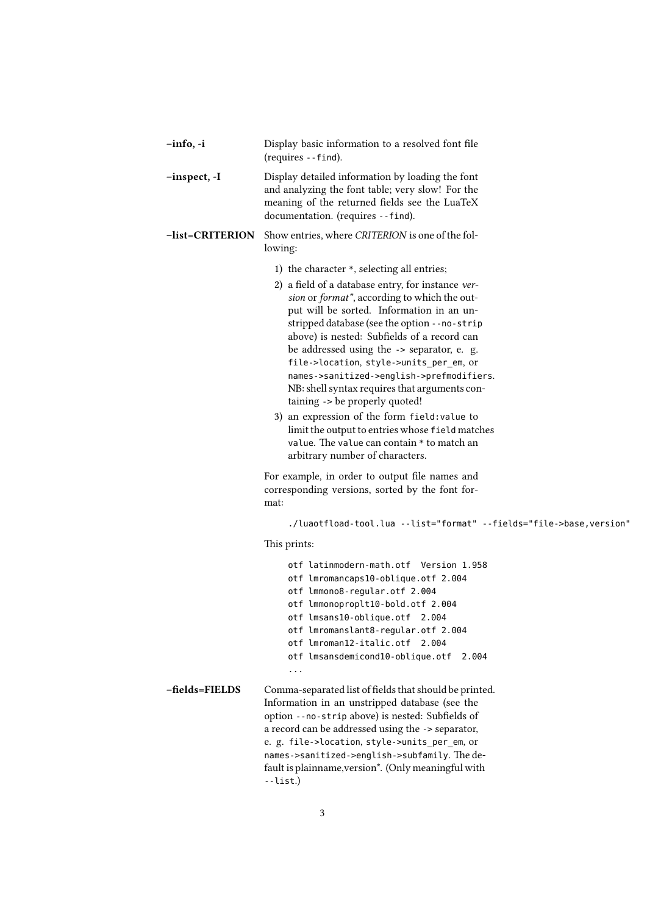| -info, -i              | Display basic information to a resolved font file<br>(requires --find).                                                                                                                                                                                                                                                                                                                                                                                                                                                                                                                                                                                                                                                                                                                                       |
|------------------------|---------------------------------------------------------------------------------------------------------------------------------------------------------------------------------------------------------------------------------------------------------------------------------------------------------------------------------------------------------------------------------------------------------------------------------------------------------------------------------------------------------------------------------------------------------------------------------------------------------------------------------------------------------------------------------------------------------------------------------------------------------------------------------------------------------------|
| -inspect, -I           | Display detailed information by loading the font<br>and analyzing the font table; very slow! For the<br>meaning of the returned fields see the LuaTeX<br>documentation. (requires --find).                                                                                                                                                                                                                                                                                                                                                                                                                                                                                                                                                                                                                    |
| <b>-list=CRITERION</b> | Show entries, where CRITERION is one of the fol-<br>lowing:                                                                                                                                                                                                                                                                                                                                                                                                                                                                                                                                                                                                                                                                                                                                                   |
|                        | 1) the character *, selecting all entries;<br>2) a field of a database entry, for instance ver-<br>sion or format*, according to which the out-<br>put will be sorted. Information in an un-<br>stripped database (see the option --no-strip<br>above) is nested: Subfields of a record can<br>be addressed using the -> separator, e. g.<br>file->location, style->units_per_em, or<br>names->sanitized->english->prefmodifiers.<br>NB: shell syntax requires that arguments con-<br>taining -> be properly quoted!<br>3) an expression of the form field: value to<br>limit the output to entries whose field matches<br>value. The value can contain * to match an<br>arbitrary number of characters.<br>For example, in order to output file names and<br>corresponding versions, sorted by the font for- |
|                        | mat:                                                                                                                                                                                                                                                                                                                                                                                                                                                                                                                                                                                                                                                                                                                                                                                                          |
|                        | ./luaotfload-tool.lua --list="format" --fields="file->base, version"                                                                                                                                                                                                                                                                                                                                                                                                                                                                                                                                                                                                                                                                                                                                          |
|                        | This prints:                                                                                                                                                                                                                                                                                                                                                                                                                                                                                                                                                                                                                                                                                                                                                                                                  |
|                        | otf latinmodern-math.otf Version 1.958<br>otf lmromancaps10-oblique.otf 2.004<br>otf lmmono8-regular.otf 2.004<br>otf lmmonoproplt10-bold.otf 2.004<br>otf lmsans10-oblique.otf 2.004<br>otf lmromanslant8-regular.otf 2.004<br>otf lmroman12-italic.otf 2.004<br>otf lmsansdemicond10-oblique.otf 2.004                                                                                                                                                                                                                                                                                                                                                                                                                                                                                                      |
|                        | $\cdots$                                                                                                                                                                                                                                                                                                                                                                                                                                                                                                                                                                                                                                                                                                                                                                                                      |

–fields=FIELDS Comma-separated list of fields that should be printed. Information in an unstripped database (see the option --no-strip above) is nested: Subfields of a record can be addressed using the -> separator, e. g. file->location, style->units\_per\_em, or names->sanitized->english->subfamily. The default is plainname,version\*. (Only meaningful with --list.)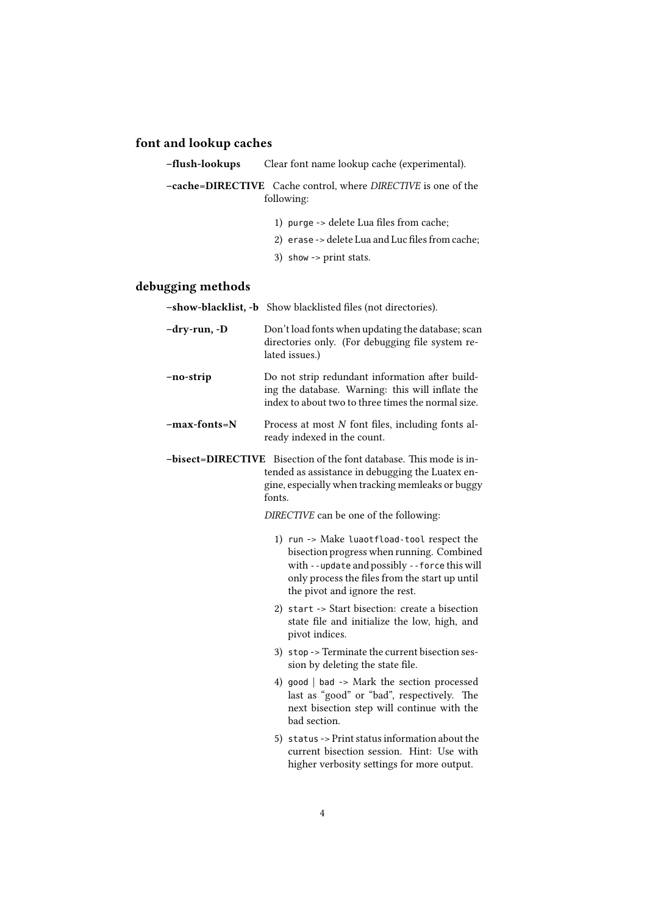### font and lookup caches

–flush-lookups Clear font name lookup cache (experimental).

–cache=DIRECTIVE Cache control, where DIRECTIVE is one of the following:

- 1) purge -> delete Lua files from cache;
- 2) erase -> delete Lua and Luc files from cache;
- 3) show -> print stats.

### debugging methods

|                   | -show-blacklist, -b Show blacklisted files (not directories).                                                                                                                                                               |
|-------------------|-----------------------------------------------------------------------------------------------------------------------------------------------------------------------------------------------------------------------------|
| -dry-run, -D      | Don't load fonts when updating the database; scan<br>directories only. (For debugging file system re-<br>lated issues.)                                                                                                     |
| -no-strip         | Do not strip redundant information after build-<br>ing the database. Warning: this will inflate the<br>index to about two to three times the normal size.                                                                   |
| -max-fonts=N      | Process at most N font files, including fonts al-<br>ready indexed in the count.                                                                                                                                            |
| -bisect=DIRECTIVE | Bisection of the font database. This mode is in-<br>tended as assistance in debugging the Luatex en-<br>gine, especially when tracking memleaks or buggy<br>fonts.<br>DIRECTIVE can be one of the following:                |
|                   | 1) run -> Make luaotfload-tool respect the<br>bisection progress when running. Combined<br>with --update and possibly --force this will<br>only process the files from the start up until<br>the pivot and ignore the rest. |
|                   | 2) start -> Start bisection: create a bisection<br>state file and initialize the low, high, and<br>pivot indices.                                                                                                           |
|                   | 3) stop -> Terminate the current bisection ses-<br>sion by deleting the state file.                                                                                                                                         |
|                   | 4) good $\vert$ bad -> Mark the section processed<br>last as "good" or "bad", respectively. The<br>next bisection step will continue with the<br>bad section.                                                               |
|                   | 5) status -> Print status information about the<br>current bisection session. Hint: Use with<br>higher verbosity settings for more output.                                                                                  |
|                   |                                                                                                                                                                                                                             |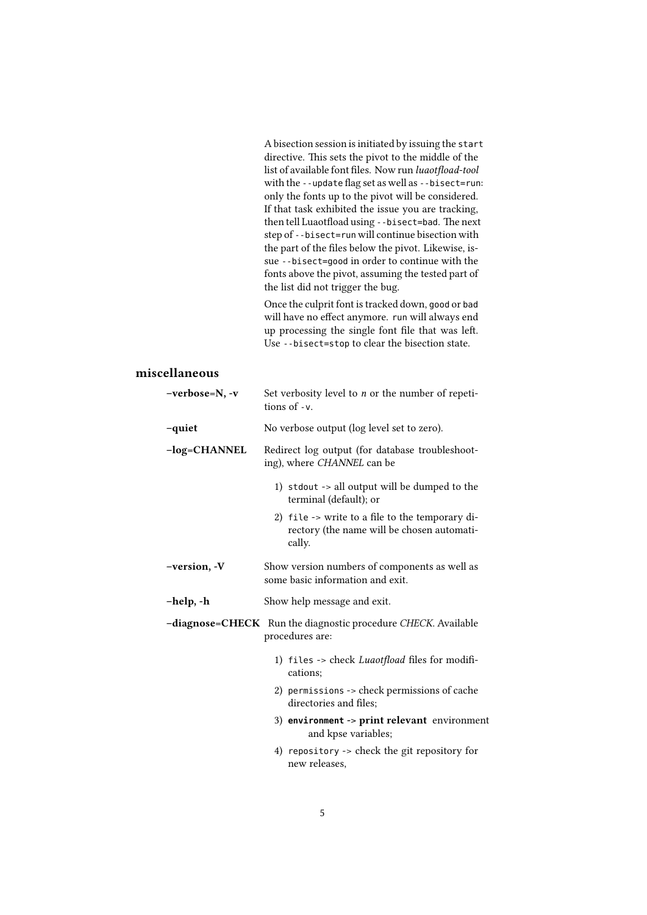A bisection session is initiated by issuing the start directive. This sets the pivot to the middle of the list of available font files. Now run luaotfload-tool with the --update flag set as well as --bisect=run: only the fonts up to the pivot will be considered. If that task exhibited the issue you are tracking, then tell Luaotfload using --bisect=bad. The next step of --bisect=run will continue bisection with the part of the files below the pivot. Likewise, issue --bisect=good in order to continue with the fonts above the pivot, assuming the tested part of the list did not trigger the bug.

Once the culprit font is tracked down, good or bad will have no effect anymore. run will always end up processing the single font file that was left. Use --bisect=stop to clear the bisection state.

### miscellaneous

| -verbose=N, -v | Set verbosity level to $n$ or the number of repeti-<br>tions of -v.                                     |
|----------------|---------------------------------------------------------------------------------------------------------|
| -quiet         | No verbose output (log level set to zero).                                                              |
| -log=CHANNEL   | Redirect log output (for database troubleshoot-<br>ing), where CHANNEL can be                           |
|                | 1) stdout -> all output will be dumped to the<br>terminal (default); or                                 |
|                | 2) file -> write to a file to the temporary di-<br>rectory (the name will be chosen automati-<br>cally. |
| -version, -V   | Show version numbers of components as well as<br>some basic information and exit.                       |
| -help, -h      | Show help message and exit.                                                                             |
|                | -diagnose=CHECK Run the diagnostic procedure CHECK. Available<br>procedures are:                        |
|                | 1) files -> check Luaotfload files for modifi-<br>cations:                                              |
|                | 2) permissions -> check permissions of cache<br>directories and files;                                  |
|                | 3) environment -> print relevant environment<br>and kpse variables;                                     |
|                | 4) repository -> check the git repository for<br>new releases,                                          |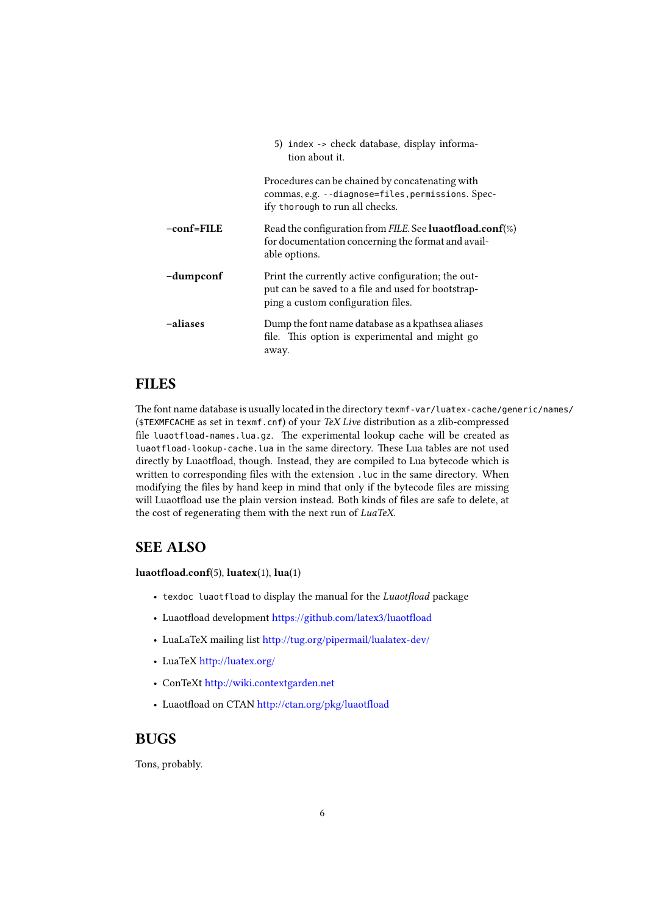|            | 5) index -> check database, display informa-<br>tion about it.                                                                                 |
|------------|------------------------------------------------------------------------------------------------------------------------------------------------|
|            | Procedures can be chained by concatenating with<br>commas, e.g. --diagnose=files, permissions. Spec-<br>ify thorough to run all checks.        |
| -conf=FILE | Read the configuration from FILE. See <b>luaotfload.conf</b> $(\%)$<br>for documentation concerning the format and avail-<br>able options.     |
| -dumpconf  | Print the currently active configuration; the out-<br>put can be saved to a file and used for bootstrap-<br>ping a custom configuration files. |
| -aliases   | Dump the font name database as a kpathsea aliases<br>file. This option is experimental and might go<br>away.                                   |

### FILES

The font name database is usually located in the directory texmf-var/luatex-cache/generic/names/ (\$TEXMFCACHE as set in texmf.cnf) of your TeX Live distribution as a zlib-compressed file luaotfload-names.lua.gz. The experimental lookup cache will be created as luaotfload-lookup-cache.lua in the same directory. These Lua tables are not used directly by Luaotfload, though. Instead, they are compiled to Lua bytecode which is written to corresponding files with the extension . Luc in the same directory. When modifying the files by hand keep in mind that only if the bytecode files are missing will Luaotfload use the plain version instead. Both kinds of files are safe to delete, at the cost of regenerating them with the next run of LuaTeX.

### SEE ALSO

luaotfload.conf(5), luatex(1), lua(1)

- texdoc luaotfload to display the manual for the Luaotfload package
- Luaotfload development https://github.com/latex3/luaotfload
- LuaLaTeX mailing list http://tug.org/pipermail/lualatex-dev/
- LuaTeX http://luatex.org/
- ConTeXt http://wiki.contextgarden.net
- Luaotfload on CTAN http://ctan.org/pkg/luaotfload

### BUGS

Tons, probably.